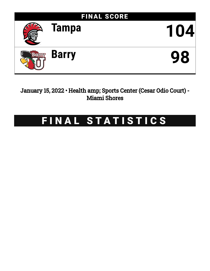

January 15, 2022 • Health amp; Sports Center (Cesar Odio Court) - Miami Shores

# FINAL STATISTICS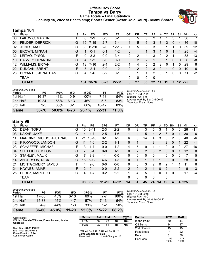# **Official Box Score Tampa vs Barry Game Totals -- Final Statistics January 15, 2022 at Health amp; Sports Center (Cesar Odio Court) - Miami Shores**



# **Tampa 104**

| No. | Player                 | S  | <b>Pts</b> | FG        | 3FG      | FT        | 0R       | DR | TR | РF | A        | TO | <b>B</b> lk  | Stl | Min    | $+/-$ |
|-----|------------------------|----|------------|-----------|----------|-----------|----------|----|----|----|----------|----|--------------|-----|--------|-------|
| 00  | LAKOVIC, MARTIN        | F  | 6          | $3-9$     | $0 - 3$  | $0 - 1$   | 3        | 5  | 8  | 2  |          |    | 3            |     | 36     | 7     |
| 01  | FELDER, DERRICK        | G  | 19         | $7 - 15$  | $2 - 7$  | $3 - 4$   |          | 5  | 6  | 3  | 3        | 3  | $\mathbf{0}$ | 4   | 36     | 10    |
| 02  | JONES, MAX             | G  | 38         | $12 - 20$ | $2-6$    | $12 - 15$ |          | 5  | 6  | 3  | 3        |    | 1            | 0   | 39     | 12    |
| 05  | <b>BROWN, MYKAH</b>    | G  |            | $0 - 1$   | $0 - 1$  | $1 - 2$   | 0        |    |    | 3  |          | 0  | 1            |     | 25     | $-4$  |
| 32  | LEITAO, TYSON          | F  | 9          | $3 - 3$   | $0 - 0$  | $3 - 4$   | 2        | 2  | 4  | 3  | $\Omega$ | 2  |              |     | 33     | 13    |
| 10  | HARVEY, DE'ANDRE       | G  | 4          | $2 - 2$   | $0 - 0$  | $0 - 0$   | $\Omega$ | 2  | 2  |    | $\Omega$ |    | 0            | 0   | 6      | -8    |
| 12  | <b>WILLIAMS, BRYAN</b> | G  | 18         | 7-16      | $2 - 4$  | $2 - 2$   |          | 4  | 5  | 2  | 3        | 0  |              | 5.  | 29     | 8     |
| 22  | <b>DUNCAN, BRENT</b>   | F. | 5          | $2 - 4$   | $0 - 0$  | $1 - 2$   | 0        | 2  | 2  | 3  | $\Omega$ |    | 0            | 0   | 10     | -6    |
| 23  | BRYANT II, JONATHAN    | G  | 4          | $2 - 6$   | $0 - 2$  | $0 - 1$   | 0        |    |    | 2  | $\Omega$ |    | 0            | 0   | 11     | $-2$  |
|     | <b>TEAM</b>            |    |            |           |          |           | 0        | 0  | 0  | 0  |          |    |              |     |        |       |
|     | <b>TOTALS</b>          |    |            | 104 38-76 | $6 - 23$ | $22 - 31$ | 8        | 27 | 35 | 22 | 11       | 11 | 7            |     | 12 225 |       |

| Period<br>1st Half | FG<br>16-37 | FG%<br>43% | 3FG<br>0-9 | 3FG%<br>$00\%$ | FT<br>7-13 | FT%<br>54% | Deadball Rebounds: 4,4<br>Last FG: 3rd-01:25<br>Biggest Run: 8-0 |
|--------------------|-------------|------------|------------|----------------|------------|------------|------------------------------------------------------------------|
| 2nd Half           | 19-34       | 56%        | $6 - 13$   | 46%            | $5-6$      | 83%        | Largest lead: By 8 at 3rd-00:09<br>Technical Fouls: None.        |
| 3rd Half           | $3-5$       | 60%        | $0 - 1$    | $00\%$         | $10-12$    | 83%        |                                                                  |
| Game               | 38-76       | 50.0%      | $6 - 23$   | 26.1%          | $22 - 31$  | 71.0%      |                                                                  |

# **Barry 98**

| No.     | Player                   | S  | Pts           | FG        | 3FG       | <b>FT</b> | <b>OR</b>      | DR | TR             | PF | A        | TO | Blk      | Stl | Min | $+/-$        |
|---------|--------------------------|----|---------------|-----------|-----------|-----------|----------------|----|----------------|----|----------|----|----------|-----|-----|--------------|
| 02      | DEAN, TORU               | G  | 10            | $3 - 11$  | $2 - 3$   | $2 - 2$   | 0              | 3  | 3              | 5  | 3        |    | 0        | 0   | 26  | $-11$        |
| 03      | KAKAR, JAKE              | G  | 14            | $4 - 7$   | $2 - 5$   | $4-6$     | 1              | 4  | 5              | 4  | 2        | 6  | 0        |     | 30  | $-6$         |
| 11      | MARCINKEVICIUS, JUSTINAS | F. | 21            | $10 - 16$ | $0 - 1$   | $1 - 2$   | 6              | 8  | 14             | 4  | 3        | 3  | 2        | 0   | 40  | -6           |
| $12 \,$ | KIRKWOOD, LANDON         | G  | 11            | $4-6$     | $2 - 2$   | $1 - 1$   | $\Omega$       | 1  |                | 3  | 1        | 2  | $\Omega$ |     | 22  | $-1$         |
| 23      | <b>SCHAEFER, MICHAEL</b> | F  | 3             | $1 - 7$   | $0 - 0$   | $1 - 2$   | 4              | 5  | 9              |    |          | 2  | 0        | 0   | 27  | $-16$        |
| 04      | SHEFFIELD, MILON         | G  |               | $3 - 4$   | $0 - 0$   | $1 - 2$   | 0              | 2  | 2              | 3  | 2        | 0  | $\Omega$ |     | 12  | $\mathbf{0}$ |
| 10      | <b>STANLEY, MALIK</b>    | G  |               | $3 - 3$   | $1 - 1$   | $0 - 0$   | 0              | 0  | $\Omega$       | 0  | 1        | 0  | $\Omega$ | 0   | 7   | 5            |
| 14      | <b>ANDERSON, NICK</b>    | G  | 15            | $5 - 12$  | $4-6$     | $1 - 3$   | $\Omega$       | 1  | 1              |    | 1        | 0  | $\Omega$ | 0   | 28  | $\mathbf{0}$ |
| 21      | MONTGOMERY, JAMES        | F  | 4             | $2 - 3$   | $0 - 0$   | $0 - 0$   | $\Omega$       | 3  | 3              | 2  | 0        | 2  |          |     | 11  | 6            |
| 24      | HAYNES, AMARI            | F. | $\mathcal{P}$ | $0 - 4$   | $0 - 0$   | $2 - 2$   | $\overline{2}$ | 0  | $\overline{2}$ |    | 0        | 2  |          | 0   | 6   | 3            |
| 25      | PEREZ, MARCELO           | G  | 4             | $1 - 7$   | $0 - 2$   | $2 - 2$   | 1.             | 4  | 5              | 0  | $\Omega$ | -1 | $\Omega$ | U   | 17  | $-4$         |
|         | <b>TEAM</b>              |    |               |           |           |           | 0              | 0  | 0              | 0  |          | 0  |          |     |     |              |
|         | <b>TOTALS</b>            |    | 98            | 36-80     | $11 - 20$ | $15 - 22$ | 14             | 31 | 45             | 24 | 14       | 19 | 4        | 4   | 225 |              |

| Game                                | $36 - 80$ | 45.0% | $11 - 20$ | 55.0% | 15-22  | 68.2% |
|-------------------------------------|-----------|-------|-----------|-------|--------|-------|
| 3rd Half                            | 4-9       | 44%   | $1 - 3$   | 33%   | $1-2$  | 50%   |
| 2nd Half                            | 15-33     | 45%   | 4-7       | 57%   | $7-13$ | 54%   |
| 1st Half                            | 17-38     | 45%   | 6-10      | 60%   | 7-7    | 100%  |
| <b>Shooting By Period</b><br>Period | FG        | FG%   | 3FG       | 3FG%  | FТ     | FT%   |

*Deadball Rebounds:* 6,4 *Last FG:* 3rd-00:03 *Biggest Run:* 10-0 *Largest lead:* By 10 at 1st-00:22 *Technical Fouls:* None.

| Game Notes:                                                   | <b>Score</b>                              | 1st | 2nd              | 3rd               | <b>TOT</b> | <b>Points</b> | <b>UTM</b>     | <b>BAR</b>     |
|---------------------------------------------------------------|-------------------------------------------|-----|------------------|-------------------|------------|---------------|----------------|----------------|
| Officials: Freddie Williams, Frank Raposo, Justin<br>Gonzalez | UTM                                       | 39  | 49               | 16                | 104        | In the Paint  | 50             | 44             |
|                                                               | <b>BAR</b>                                | 47  | 4 <sup>1</sup>   | 10                | 98         | Off Turns     | 14             | 17             |
| Start Time: 04:11 PM ET                                       |                                           |     |                  |                   |            | 2nd Chance    | 15             | 15             |
| End Time: 06:36 PM ET<br>Game Duration: 2:24                  | UTM led for 6:27. BAR led for 32:12.      |     |                  | <b>Fast Break</b> |            | 22            |                |                |
| Conference Game:                                              | Game was tied for 6:22.<br>Times tied: 11 |     | Lead Changes: 10 |                   |            | Bench         | 31             | 39             |
|                                                               |                                           |     |                  |                   |            | Per Poss      | 1.169<br>49/89 | 1.077<br>44/91 |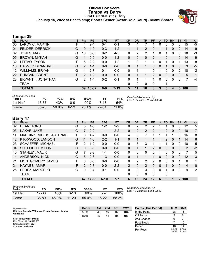# **Official Box Score Tampa vs Barry First Half Statistics Only January 15, 2022 at Health amp; Sports Center (Cesar Odio Court) - Miami Shores**



# **Tampa 39**

| No. | Plaver                 | S  | <b>Pts</b>    | FG      | 3FG     | <b>FT</b> | <b>OR</b> | <b>DR</b> | <b>TR</b> | PF             | A            | <b>TO</b>    | <b>B</b> lk  | Stl          | Min | $+/-$ |
|-----|------------------------|----|---------------|---------|---------|-----------|-----------|-----------|-----------|----------------|--------------|--------------|--------------|--------------|-----|-------|
| 00  | LAKOVIC, MARTIN        | F. | 4             | $2 - 4$ | $0 - 1$ | $0 - 1$   | 3         | 4         |           |                | 0            | 0            | 3            | 0            | 15  | -5    |
| 01  | <b>FELDER, DERRICK</b> | G  | 9             | $4-9$   | $0 - 3$ | $1 - 2$   |           | 1         | 2         | 0              |              |              | $\Omega$     | 2            | 14  | -9    |
| 02  | JONES, MAX             | G  | 10            | $3 - 8$ | $0 - 2$ | $4 - 5$   | 0         | 2         | 2         | 1              | 0            |              | 0            | $\Omega$     | 18  | -3    |
| 05  | <b>BROWN, MYKAH</b>    | G  |               | $0 - 0$ | $0 - 0$ | $1 - 2$   | 0         | 0         | 0         | $\overline{2}$ |              | 0            |              | 0            | 14  | -9    |
| 32  | LEITAO, TYSON          | F  | 5             | $2 - 2$ | $0 - 0$ | $1 - 2$   |           | 0         |           |                | 0            |              | 0            | 1            | 13  | -8    |
| 10  | HARVEY, DE'ANDRE       | G  | $\mathcal{P}$ | $1 - 1$ | $0 - 0$ | $0 - 0$   | 0         |           |           | 0              | 0            |              | $\mathbf{0}$ | $\mathbf{0}$ | 3   | $-5$  |
| 12  | <b>WILLIAMS, BRYAN</b> | G  | 4             | $2 - 7$ | $0 - 1$ | $0 - 0$   | 0         |           |           | 0              |              | 0            | 0            | 2            | 10  | 2     |
| 22  | <b>DUNCAN, BRENT</b>   | F. | $\mathcal{P}$ | $1 - 2$ | $0 - 0$ | $0 - 0$   | 0         |           |           | $\overline{2}$ | $\mathbf{0}$ | $\mathbf{0}$ | $\Omega$     | $\mathbf{0}$ | 5   | 1     |
| 23  | BRYANT II, JONATHAN    | G  | 2             | $1 - 4$ | $0 - 2$ | $0 - 1$   | 0         |           |           | 1              | $\Omega$     | $\Omega$     | $\Omega$     | 0            | 7   | $-4$  |
|     | <b>TEAM</b>            |    |               |         |         |           | 0         | 0         | 0         | 0              |              |              |              |              |     |       |
|     | <b>TOTALS</b>          |    | 39            | 16-37   | $0 - 9$ | $7 - 13$  | 5         | 11        | 16        | 8              | 3            | 5            | 4            | 5.           | 100 |       |

| <b>Shooting By Period</b><br>Period | FG        | FG%      | 3FG      | 3FG%  |           | FT%   | Deadball Rebounds: 4,4<br>Last FG Half: UTM 2nd-01:28 |
|-------------------------------------|-----------|----------|----------|-------|-----------|-------|-------------------------------------------------------|
| 1st Half                            | 16-37     | 43%      | n-9      | 00%   | 7-13      | 54%   |                                                       |
| Game                                | $38 - 76$ | $50.0\%$ | $6 - 23$ | 26.1% | $22 - 31$ | 71.0% |                                                       |

# **Barry 47**

| No.               | Player                   | S | <b>Pts</b>    | <b>FG</b> | 3FG      | <b>FT</b> | <b>OR</b>      | DR | TR             | PF            | A        | <b>TO</b> | <b>Blk</b>   | Stl         | Min | $+/-$    |
|-------------------|--------------------------|---|---------------|-----------|----------|-----------|----------------|----|----------------|---------------|----------|-----------|--------------|-------------|-----|----------|
| 02                | DEAN, TORU               | G | 5             | $1 - 3$   | 1-2      | $2 - 2$   | 0              | 2  | 2              | $\mathcal{P}$ |          |           | 0            | 0           | 12  | 5        |
| 03                | KAKAR, JAKE              | G |               | $2 - 2$   | $1 - 1$  | $2 - 2$   | $\Omega$       | 2  | 2              | $\mathcal{P}$ | 1        | 2         | $\Omega$     | 0           | 10  | 7        |
| 11                | MARCINKEVICIUS, JUSTINAS | F | 8             | $4 - 7$   | $0 - 0$  | $0-0$     | 4              | 3  |                |               |          |           |              | 0           | 16  | 8        |
| $12 \overline{ }$ | KIRKWOOD, LANDON         | G | 11            | $4-6$     | $2 - 2$  | $1 - 1$   | $\Omega$       |    |                |               |          | 2         | 0            |             | 14  | 6        |
| 23                | <b>SCHAEFER, MICHAEL</b> | F | 2             | $1 - 2$   | $0 - 0$  | $0 - 0$   | 0              | 3  | 3              |               |          |           | 0            | 0           | 10  | 5        |
| 04                | SHEFFIELD, MILON         | G | 0             | $0 - 0$   | $0 - 0$  | $0 - 0$   | $\mathbf{0}$   |    |                | $\mathcal{P}$ | $\Omega$ | 0         | $\Omega$     | 0           | 2   | $-2$     |
| 10                | <b>STANLEY, MALIK</b>    | G |               | $3 - 3$   | $1 - 1$  | $0 - 0$   | $\Omega$       | 0  | 0              | 0             | 1        | 0         | 0            | 0           | 7   | 5        |
| 14                | ANDERSON, NICK           | G | 5             | $2 - 8$   | $1 - 3$  | $0 - 0$   | $\Omega$       |    | 1              |               | 0        | 0         | $\mathbf{0}$ | $\Omega$    | 12  | 3        |
| 21                | <b>MONTGOMERY, JAMES</b> | F | 0             | $0 - 0$   | $0 - 0$  | $0 - 0$   | $\Omega$       | 2  | 2              | 2             | 0        | 0         | 0            |             | 6   | 1        |
| 24                | <b>HAYNES, AMARI</b>     | F | $\mathcal{P}$ | $0 - 3$   | $0 - 0$  | $2 - 2$   | $\overline{2}$ | 0  | $\overline{2}$ | $\Omega$      | 0        |           | 0            | $\Omega$    | 4   | $\Omega$ |
| 25                | PEREZ, MARCELO           | G | 0             | $0 - 4$   | $0 - 1$  | $0 - 0$   | $\Omega$       | 3  | 3              | 0             | $\Omega$ |           | $\Omega$     | 0           | 9   | 2        |
|                   | <b>TEAM</b>              |   |               |           |          |           | 0              | 0  | 0              | $\Omega$      |          | 0         |              |             |     |          |
|                   | <b>TOTALS</b>            |   | 47            | 17-38     | $6 - 10$ | $7 - 7$   | 6              | 18 | 24             | $12 \,$       | 6        | 9         |              | $\mathbf 2$ | 100 |          |

| <b>Shooting By Period</b><br>Period | FG        | FG%   | 3FG       | 3FG%  | FT        | FT%   | Deadb<br>Last F |
|-------------------------------------|-----------|-------|-----------|-------|-----------|-------|-----------------|
| 1st Half                            | 17-38     | 45%   | ჩ-10      | 60%   |           | 100%  |                 |
| Game                                | $36 - 80$ | 45.0% | $11 - 20$ | 55.0% | $15 - 22$ | 68.2% |                 |

*Deadball Rebounds:* 6,4 *Last FG Half:* BAR 2nd-02:12

| Game Notes:                                                   | <b>Score</b> | 1st | 2nd | 3rd | <b>TOT</b> | <b>Points (This Period)</b> | <b>UTM</b>     | <b>BAR</b>     |
|---------------------------------------------------------------|--------------|-----|-----|-----|------------|-----------------------------|----------------|----------------|
| Officials: Freddie Williams, Frank Raposo, Justin<br>Gonzalez | UTM          | 39  | 49  | 16  | 104        | In the Paint                | 28             | 16             |
|                                                               | <b>BAR</b>   | 47  | 41  | 10  | 98         | Off Turns                   |                |                |
| Start Time: 04:11 PM ET                                       |              |     |     |     |            | 2nd Chance                  |                |                |
| End Time: 06:36 PM ET<br>Game Duration: 2:24                  |              |     |     |     |            | <b>Fast Break</b>           |                | 10             |
| Conference Game:                                              |              |     |     |     |            | Bench                       |                | 14             |
|                                                               |              |     |     |     |            | Per Poss                    | 0.929<br>20/42 | 1.068<br>21/44 |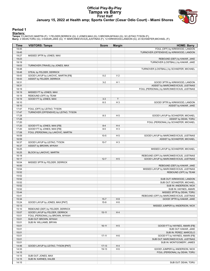# **Official Play-By-Play Tampa vs Barry First Half January 15, 2022 at Health amp; Sports Center (Cesar Odio Court) - Miami Shores**



### **Period 1**

<mark>Starters:</mark><br>Tampa: 0 LAKOVIC,MARTIN (F); 1 FELDER,DERRICK (G); 2 JONES,MAX (G); 5 BROWN,MYKAH (G); 32 LEITAO,TYSON (F);<br>**Barry**: 2 DEAN,TORU (G); 3 KAKAR,JAKE (G); 11 MARCINKEVICIUS,JUSTINAS (F); 12 KIRKWOOD,LANDON (G); 23

| Time           | <b>VISITORS: Tampa</b>                | <b>Score</b> | <b>Margin</b>  | <b>HOME: Barry</b>                          |
|----------------|---------------------------------------|--------------|----------------|---------------------------------------------|
| 19:45          |                                       |              |                | FOUL (OFF) by KIRKWOOD, LANDON              |
| 19:45          |                                       |              |                | TURNOVER (OFFENSIVE) by KIRKWOOD, LANDON    |
| 19:27          | MISSED 3PTR by JONES, MAX             |              |                |                                             |
| 19:23          |                                       |              |                | REBOUND (DEF) by KAKAR, JAKE                |
| 19:19          |                                       |              |                | TURNOVER (LOSTBALL) by KAKAR, JAKE          |
| 19:03          | TURNOVER (TRAVEL) by JONES, MAX       |              |                |                                             |
| 18:48          |                                       |              |                | TURNOVER (LOSTBALL) by SCHAEFER, MICHAEL    |
| 18:48          | STEAL by FELDER, DERRICK              |              |                |                                             |
| 18:43          | GOOD! LAYUP by LAKOVIC, MARTIN [FB]   | $0 - 2$      | V <sub>2</sub> |                                             |
| 18:43          | ASSIST by FELDER, DERRICK             |              |                |                                             |
| 18:31          |                                       | $3 - 2$      | H <sub>1</sub> | GOOD! 3PTR by KIRKWOOD, LANDON              |
| 18:31          |                                       |              |                | ASSIST by MARCINKEVICIUS, JUSTINAS          |
| 18:19<br>18:19 | MISSED FT by JONES, MAX               |              |                | FOUL (PERSONAL) by MARCINKEVICIUS, JUSTINAS |
| 18:19          | REBOUND (OFF) by TEAM                 |              |                |                                             |
| 18:19          | GOOD! FT by JONES, MAX                | $3 - 3$      | $\top$         |                                             |
| 18:10          |                                       | $6 - 3$      | H <sub>3</sub> | GOOD! 3PTR by KIRKWOOD, LANDON              |
| 18:10          |                                       |              |                | ASSIST by KAKAR, JAKE                       |
| 17:47          | FOUL (OFF) by LEITAO, TYSON           |              |                |                                             |
| 17:47          | TURNOVER (OFFENSIVE) by LEITAO, TYSON |              |                |                                             |
| 17:28          |                                       | $8-3$        | H <sub>5</sub> | GOOD! LAYUP by SCHAEFER, MICHAEL            |
| 17:28          |                                       |              |                | ASSIST by DEAN, TORU                        |
| 17:20          |                                       |              |                | FOUL (PERSONAL) by SCHAEFER, MICHAEL        |
| 17:20          | GOOD! FT by JONES, MAX [FB]           | $8 - 4$      | H4             |                                             |
| 17:20          | GOOD! FT by JONES, MAX [FB]           | $8 - 5$      | $H_3$          |                                             |
| 17:08          | FOUL (PERSONAL) by LAKOVIC, MARTIN    |              |                |                                             |
| 16:59          |                                       | $10-5$       | H <sub>5</sub> | GOOD! LAYUP by MARCINKEVICIUS, JUSTINAS     |
| 16:59          |                                       |              |                | ASSIST by SCHAEFER, MICHAEL                 |
| 16:37          | GOOD! LAYUP by LEITAO, TYSON          | $10 - 7$     | $H_3$          |                                             |
| 16:37          | ASSIST by BROWN, MYKAH                |              |                |                                             |
| 16:25          |                                       |              |                | MISSED LAYUP by SCHAEFER, MICHAEL           |
| 16:25          | BLOCK by LAKOVIC, MARTIN              |              |                |                                             |
| 16:18          |                                       |              |                | REBOUND (OFF) by MARCINKEVICIUS, JUSTINAS   |
| 16:17          |                                       | $12 - 7$     | H <sub>5</sub> | GOOD! LAYUP by MARCINKEVICIUS, JUSTINAS     |
| 16:04          | MISSED 3PTR by FELDER, DERRICK        |              |                |                                             |
| 16:00          |                                       |              |                | REBOUND (DEF) by KAKAR, JAKE                |
| 15:54          |                                       |              |                | MISSED LAYUP by MARCINKEVICIUS, JUSTINAS    |
| 15:52          |                                       |              |                | REBOUND (OFF) by TEAM                       |
| 15:52<br>15:52 |                                       |              |                | SUB OUT: KIRKWOOD, LANDON                   |
| 15:52          |                                       |              |                | SUB OUT: SCHAEFER, MICHAEL                  |
| 15:52          |                                       |              |                | SUB IN: ANDERSON, NICK                      |
| 15:52          |                                       |              |                | SUB IN: HAYNES, AMARI                       |
| 15:44          |                                       |              |                | MISSED 3PTR by DEAN, TORU                   |
| 15:41          |                                       |              |                | REBOUND (OFF) by MARCINKEVICIUS, JUSTINAS   |
| 15:34          |                                       | $15 - 7$     | H <sub>8</sub> | GOOD! 3PTR by KAKAR, JAKE                   |
| 15:24          | GOOD! LAYUP by JONES, MAX [PNT]       | $15-9$       | H <sub>6</sub> |                                             |
| 15:13          |                                       |              |                | MISSED JUMPER by ANDERSON, NICK             |
| 15:10          | REBOUND (DEF) by FELDER, DERRICK      |              |                |                                             |
| 15:07          | GOOD! LAYUP by FELDER, DERRICK        | $15 - 11$    | H <sub>4</sub> |                                             |
| 15:01          | FOUL (PERSONAL) by BROWN, MYKAH       |              |                |                                             |
| 15:01          | SUB OUT: BROWN, MYKAH                 |              |                |                                             |
| 15:01          | SUB IN: WILLIAMS, BRYAN               |              |                |                                             |
| 15:01          |                                       | $16-11$      | H <sub>5</sub> | GOOD! FT by HAYNES, AMARI [FB]              |
| 15:01          |                                       |              |                | SUB OUT: KAKAR, JAKE                        |
| 15:01          |                                       |              |                | SUB IN: PEREZ, MARCELO                      |
| 15:01          |                                       | $17 - 11$    | H <sub>6</sub> | GOOD! FT by HAYNES, AMARI [FB]              |
| 15:01          |                                       |              |                | SUB OUT: MARCINKEVICIUS, JUSTINAS           |
| 15:01          |                                       |              |                | SUB IN: MONTGOMERY, JAMES                   |
| 14:46          | GOOD! LAYUP by LEITAO, TYSON [PNT]    | $17 - 13$    | H4             |                                             |
| 14:33          |                                       | 19-13        | H <sub>6</sub> | GOOD! JUMPER by ANDERSON, NICK              |
| 14:15          |                                       |              |                | FOUL (PERSONAL) by DEAN, TORU               |
| 14:15          | SUB OUT: JONES, MAX                   |              |                |                                             |
| 14:15          | SUB IN: KARNES, KALEB                 |              |                |                                             |
| 14:15          |                                       |              |                | SUB OUT: DEAN, TORU                         |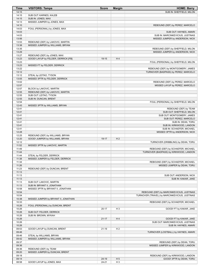| <b>Time</b>    | <b>VISITORS: Tampa</b>               | <b>Score</b> | <b>Margin</b>  | <b>HOME: Barry</b>                             |
|----------------|--------------------------------------|--------------|----------------|------------------------------------------------|
| 14:15          |                                      |              |                | SUB IN: SHEFFIELD, MILON                       |
| 14:15          | SUB OUT: KARNES, KALEB               |              |                |                                                |
| 14:15          | SUB IN: JONES, MAX                   |              |                |                                                |
| 14:13          | MISSED JUMPER by JONES, MAX          |              |                |                                                |
| 14:10          |                                      |              |                | REBOUND (DEF) by PEREZ, MARCELO                |
| 14:03          | FOUL (PERSONAL) by JONES, MAX        |              |                |                                                |
| 14:03          |                                      |              |                | SUB OUT: HAYNES, AMARI                         |
| 14:03          |                                      |              |                | SUB IN: MARCINKEVICIUS, JUSTINAS               |
| 13:56          |                                      |              |                | MISSED JUMPER by ANDERSON, NICK                |
| 13:53          | REBOUND (DEF) by LAKOVIC, MARTIN     |              |                |                                                |
| 13:38          | MISSED JUMPER by WILLIAMS, BRYAN     |              |                |                                                |
| 13:35          |                                      |              |                | REBOUND (DEF) by SHEFFIELD, MILON              |
| 13:29          |                                      |              |                | MISSED JUMPER by ANDERSON, NICK                |
| 13:27          | REBOUND (DEF) by JONES, MAX          |              |                |                                                |
| 13:23          | GOOD! LAYUP by FELDER, DERRICK [FB]  | 19-15        | H4             |                                                |
| 13:23          |                                      |              |                | FOUL (PERSONAL) by SHEFFIELD, MILON            |
| 13:23          | MISSED FT by FELDER, DERRICK         |              |                |                                                |
| 13:22          |                                      |              |                | REBOUND (DEF) by MONTGOMERY, JAMES             |
| 13:12          |                                      |              |                | TURNOVER (BADPASS) by PEREZ, MARCELO           |
| 13:12          | STEAL by LEITAO, TYSON               |              |                |                                                |
| 13:05          | MISSED 3PTR by FELDER, DERRICK       |              |                |                                                |
| 13:02          |                                      |              |                | REBOUND (DEF) by PEREZ, MARCELO                |
| 12:57          |                                      |              |                | MISSED LAYUP by PEREZ, MARCELO                 |
| 12:57          | BLOCK by LAKOVIC, MARTIN             |              |                |                                                |
| 12:55          | REBOUND (DEF) by LAKOVIC, MARTIN     |              |                |                                                |
| 12:55          | SUB OUT: LEITAO, TYSON               |              |                |                                                |
| 12:55          | SUB IN: DUNCAN, BRENT                |              |                |                                                |
| 12:54          |                                      |              |                | FOUL (PERSONAL) by SHEFFIELD, MILON            |
| 12:43          | MISSED 3PTR by WILLIAMS, BRYAN       |              |                |                                                |
| 12:41          |                                      |              |                | REBOUND (DEF) by TEAM                          |
| 12:41          |                                      |              |                | SUB OUT: SHEFFIELD, MILON                      |
| 12:41<br>12:41 |                                      |              |                | SUB OUT: MONTGOMERY, JAMES                     |
| 12:41          |                                      |              |                | SUB OUT: PEREZ, MARCELO                        |
| 12:41          |                                      |              |                | SUB IN: DEAN, TORU<br>SUB IN: KIRKWOOD, LANDON |
| 12:41          |                                      |              |                | SUB IN: SCHAEFER, MICHAEL                      |
| 12:28          |                                      |              |                | MISSED 3PTR by ANDERSON, NICK                  |
| 12:25          | REBOUND (DEF) by WILLIAMS, BRYAN     |              |                |                                                |
| 12:20          | GOOD! JUMPER by WILLIAMS, BRYAN      | 19-17        | H <sub>2</sub> |                                                |
| 12:12          |                                      |              |                | TURNOVER (DRIBBLING) by DEAN, TORU             |
| 11:52          | MISSED 3PTR by LAKOVIC, MARTIN       |              |                |                                                |
| 11:49          |                                      |              |                | REBOUND (DEF) by SCHAEFER, MICHAEL             |
| 11:44          |                                      |              |                | TURNOVER (BADPASS) by KIRKWOOD, LANDON         |
| 11:44          | STEAL by FELDER, DERRICK             |              |                |                                                |
| 11:38          | MISSED JUMPER by FELDER, DERRICK     |              |                |                                                |
| 11:34          |                                      |              |                | REBOUND (DEF) by SCHAEFER, MICHAEL             |
| 11:26          |                                      |              |                | MISSED JUMPER by DEAN, TORU                    |
| 11:23          | REBOUND (DEF) by DUNCAN, BRENT       |              |                |                                                |
| 11:13          |                                      |              |                |                                                |
| 11:13          |                                      |              |                | SUB OUT: ANDERSON, NICK                        |
| 11:13          |                                      |              |                | SUB IN: KAKAR, JAKE                            |
| 11:13          | SUB OUT: LAKOVIC, MARTIN             |              |                |                                                |
| 11:13          | SUB IN: BRYANT II, JONATHAN          |              |                |                                                |
| 10:58          | MISSED 3PTR by BRYANT II, JONATHAN   |              |                |                                                |
| 10:54          |                                      |              |                | REBOUND (DEF) by MARCINKEVICIUS, JUSTINAS      |
| 10:54          |                                      |              |                | TURNOVER (TRAVEL) by MARCINKEVICIUS, JUSTINAS  |
| 10:38          | MISSED JUMPER by BRYANT II, JONATHAN |              |                |                                                |
| 10:33          |                                      |              |                | REBOUND (DEF) by SCHAEFER, MICHAEL             |
| 10:26          | FOUL (PERSONAL) by DUNCAN, BRENT     |              |                |                                                |
| 10:26          |                                      | $20 - 17$    | $H_3$          | GOOD! FT by KAKAR, JAKE                        |
| 10:26          | SUB OUT: FELDER, DERRICK             |              |                |                                                |
| 10:26          | SUB IN: BROWN, MYKAH                 |              |                |                                                |
| 10:26          |                                      | $21 - 17$    | H4             | GOOD! FT by KAKAR, JAKE                        |
| 10:26          |                                      |              |                | SUB OUT: MARCINKEVICIUS, JUSTINAS              |
| 10:26          |                                      |              |                | SUB IN: HAYNES, AMARI                          |
| 09:53          | GOOD! LAYUP by DUNCAN, BRENT         | $21 - 19$    | H <sub>2</sub> |                                                |
| 09:46          |                                      |              |                | TURNOVER (LOSTBALL) by HAYNES, AMARI           |
| 09:46          | STEAL by WILLIAMS, BRYAN             |              |                |                                                |
| 09:42          | MISSED JUMPER by WILLIAMS, BRYAN     |              |                |                                                |
| 09:37          |                                      |              |                | REBOUND (DEF) by DEAN, TORU                    |
| 09:36          |                                      |              |                | MISSED JUMPER by KIRKWOOD, LANDON              |
| 09:36          | REBOUND (DEF) by TEAM                |              |                |                                                |
| 09:20          | MISSED JUMPER by DUNCAN, BRENT       |              |                |                                                |
| 09:18          |                                      |              |                | REBOUND (DEF) by KIRKWOOD, LANDON              |
| 09:14          |                                      | 24-19        | H <sub>5</sub> | GOOD! 3PTR by DEAN, TORU                       |
| 08:58          | GOOD! LAYUP by JONES, MAX            | $24 - 21$    | $H_3$          |                                                |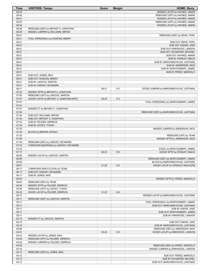| Time           | <b>VISITORS: Tampa</b>                   | <b>Score</b> | <b>Margin</b>  | <b>HOME: Barry</b>                        |
|----------------|------------------------------------------|--------------|----------------|-------------------------------------------|
| 08:45          |                                          |              |                | MISSED LAYUP by HAYNES, AMARI             |
| 08:42          |                                          |              |                | REBOUND (OFF) by HAYNES, AMARI            |
| 08:41          |                                          |              |                | MISSED LAYUP by HAYNES, AMARI             |
| 08:35          |                                          |              |                | REBOUND (OFF) by HAYNES, AMARI            |
| 08:34          |                                          |              |                | MISSED LAYUP by HAYNES, AMARI             |
| 08:28          | REBOUND (DEF) by BRYANT II, JONATHAN     |              |                |                                           |
| 08:28          | MISSED JUMPER by WILLIAMS, BRYAN         |              |                |                                           |
| 08:21<br>08:21 | FOUL (PERSONAL) by DUNCAN, BRENT         |              |                | REBOUND (DEF) by DEAN, TORU               |
| 08:21          |                                          |              |                | SUB OUT: DEAN, TORU                       |
| 08:21          |                                          |              |                | SUB OUT: KAKAR, JAKE                      |
| 08:21          |                                          |              |                | SUB OUT: KIRKWOOD, LANDON                 |
| 08:21          |                                          |              |                | SUB OUT: SCHAEFER, MICHAEL                |
| 08:21          |                                          |              |                | SUB OUT: HAYNES, AMARI                    |
| 08:21          |                                          |              |                | SUB IN: STANLEY, MALIK                    |
| 08:21          |                                          |              |                | SUB IN: MARCINKEVICIUS, JUSTINAS          |
| 08:21          |                                          |              |                | SUB IN: ANDERSON, NICK                    |
| 08:21          |                                          |              |                | SUB IN: MONTGOMERY, JAMES                 |
| 08:21          |                                          |              |                | SUB IN: PEREZ, MARCELO                    |
| 08:21          | SUB OUT: JONES, MAX                      |              |                |                                           |
| 08:21          | SUB OUT: DUNCAN, BRENT                   |              |                |                                           |
| 08:21          | SUB IN: LAKOVIC, MARTIN                  |              |                |                                           |
| 08:21          | SUB IN: HARVEY, DE'ANDRE                 | $26 - 21$    |                | GOOD! JUMPER by MARCINKEVICIUS, JUSTINAS  |
| 08:11<br>07:54 | MISSED 3PTR by BRYANT II, JONATHAN       |              | H <sub>5</sub> |                                           |
| 07:50          | REBOUND (OFF) by LAKOVIC, MARTIN         |              |                |                                           |
| 07:47          | GOOD! LAYUP by BRYANT II, JONATHAN [PNT] | 26-23        | $H_3$          |                                           |
| 07:47          |                                          |              |                | FOUL (PERSONAL) by MONTGOMERY, JAMES      |
| 07:47          |                                          |              |                |                                           |
| 07:47          | MISSED FT by BRYANT II, JONATHAN         |              |                |                                           |
| 07:45          |                                          |              |                | REBOUND (DEF) by MARCINKEVICIUS, JUSTINAS |
| 07:34          | SUB OUT: WILLIAMS, BRYAN                 |              |                |                                           |
| 07:34          | SUB OUT: BRYANT II, JONATHAN             |              |                |                                           |
| 07:34          | SUB IN: FELDER, DERRICK                  |              |                |                                           |
| 07:34          | SUB IN: LEITAO, TYSON                    |              |                |                                           |
| 07:33          |                                          |              |                | MISSED JUMPER by ANDERSON, NICK           |
| 07:33          | BLOCK by BROWN, MYKAH                    |              |                |                                           |
| 07:32          |                                          |              |                | REBOUND (OFF) by TEAM                     |
| 07:29          |                                          |              |                | MISSED 3PTR by ANDERSON, NICK             |
| 07:25<br>07:23 | REBOUND (DEF) by HARVEY, DE'ANDRE        |              |                |                                           |
| 07:23          | TURNOVER (BADPASS) by HARVEY, DE'ANDRE   |              |                | STEAL by MONTGOMERY, JAMES                |
| 07:17          |                                          | 29-23        | H <sub>6</sub> | GOOD! 3PTR by STANLEY, MALIK              |
| 06:56          | MISSED LAYUP by LAKOVIC, MARTIN          |              |                |                                           |
| 06:56          |                                          |              |                | REBOUND (DEF) by MONTGOMERY, JAMES        |
| 06:56          |                                          |              |                | BLOCK by MARCINKEVICIUS, JUSTINAS         |
| 06:51          |                                          | $31 - 23$    | H 8            | GOOD! LAYUP by STANLEY, MALIK [FB]        |
| 06:17          | TURNOVER (SHOTCLOCK) by TEAM             |              |                |                                           |
| 06:17          | SUB OUT: HARVEY, DE'ANDRE                |              |                |                                           |
| 06:17          | SUB IN: JONES, MAX                       |              |                |                                           |
| 06:02          |                                          |              |                | MISSED 3PTR by PEREZ, MARCELO             |
| 06:00          | REBOUND (DEF) by TEAM                    |              |                |                                           |
| 05:40          | MISSED 3PTR by FELDER, DERRICK           |              |                |                                           |
| 05:38          | REBOUND (OFF) by LEITAO, TYSON           |              |                |                                           |
| 05:33          | GOOD! LAYUP by FELDER, DERRICK           | $31 - 25$    | H <sub>6</sub> |                                           |
| 05:12          |                                          |              |                | MISSED LAYUP by MARCINKEVICIUS, JUSTINAS  |
| 05:11<br>05:11 | REBOUND (DEF) by LAKOVIC, MARTIN         |              |                | FOUL (PERSONAL) by MONTGOMERY, JAMES      |
| 05:11          |                                          |              |                | SUB OUT: MARCINKEVICIUS, JUSTINAS         |
| 05:11          |                                          |              |                | SUB IN: KAKAR, JAKE                       |
| 05:11          |                                          |              |                | SUB OUT: MONTGOMERY, JAMES                |
| 05:11          |                                          |              |                | SUB IN: KIRKWOOD, LANDON                  |
| 05:10          | MISSED FT by LAKOVIC, MARTIN             |              |                |                                           |
| 05:10          |                                          |              |                | SUB OUT: KAKAR, JAKE                      |
| 05:10          |                                          |              |                | SUB IN: MARCINKEVICIUS, JUSTINAS          |
| 05:06          |                                          |              |                | REBOUND (DEF) by ANDERSON, NICK           |
| 04:51          |                                          | 33-25        | H 8            | GOOD! LAYUP by KIRKWOOD, LANDON           |
| 04:33          | MISSED LAYUP by JONES, MAX               |              |                |                                           |
| 04:29          | REBOUND (OFF) by FELDER, DERRICK         |              |                |                                           |
| 04:28          | MISSED JUMPER by FELDER, DERRICK         |              |                |                                           |
| 04:20          |                                          |              |                | REBOUND (DEF) by PEREZ, MARCELO           |
| 04:16          |                                          |              |                | MISSED JUMPER by KIRKWOOD, LANDON         |
| 04:13          | REBOUND (DEF) by JONES, MAX              |              |                |                                           |
| 04:12          |                                          |              |                | SUB OUT: PEREZ, MARCELO                   |
| 04:12<br>04:12 |                                          |              |                | SUB IN: SCHAEFER, MICHAEL                 |
|                |                                          |              |                | SUB OUT: MARCINKEVICIUS, JUSTINAS         |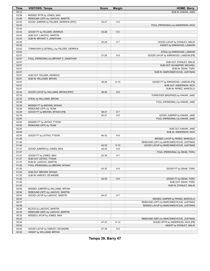| Time  | <b>VISITORS: Tampa</b>                 | <b>Score</b> | <b>Margin</b>  | <b>HOME: Barry</b>                        |
|-------|----------------------------------------|--------------|----------------|-------------------------------------------|
| 04:12 |                                        |              |                | SUB IN: KAKAR, JAKE                       |
| 03:59 | MISSED 3PTR by JONES, MAX              |              |                |                                           |
| 03:56 | REBOUND (OFF) by LAKOVIC, MARTIN       |              |                |                                           |
| 03:43 | GOOD! JUMPER by FELDER, DERRICK [PNT]  | 33-27        | H <sub>6</sub> |                                           |
| 03:43 |                                        |              |                | FOUL (PERSONAL) by ANDERSON, NICK         |
| 03:43 |                                        |              |                |                                           |
| 03:43 | GOOD! FT by FELDER, DERRICK            | 33-28        | H <sub>5</sub> |                                           |
| 03:43 | SUB OUT: LAKOVIC, MARTIN               |              |                |                                           |
| 03:43 | SUB IN: BRYANT II, JONATHAN            |              |                |                                           |
| 03:30 |                                        | 35-28        | H 7            | GOOD! LAYUP by STANLEY, MALIK             |
| 03:30 |                                        |              |                | ASSIST by KIRKWOOD, LANDON                |
| 03:02 | TURNOVER (LOSTBALL) by FELDER, DERRICK |              |                |                                           |
| 03:02 |                                        |              |                | STEAL by KIRKWOOD, LANDON                 |
| 02:57 |                                        | 37-28        | H9             | GOOD! LAYUP by KIRKWOOD, LANDON [FB]      |
| 02:57 | FOUL (PERSONAL) by BRYANT II, JONATHAN |              |                |                                           |
| 02:57 |                                        |              |                | SUB OUT: STANLEY, MALIK                   |
| 02:57 |                                        |              |                | SUB OUT: SCHAEFER, MICHAEL                |
| 02:57 |                                        |              |                | SUB IN: DEAN, TORU                        |
| 02:57 |                                        |              |                | SUB IN: MARCINKEVICIUS, JUSTINAS          |
| 02:57 | SUB OUT: FELDER, DERRICK               |              |                |                                           |
| 02:57 | SUB IN: WILLIAMS, BRYAN                |              |                |                                           |
| 02:57 |                                        | 38-28        | H 10           | GOOD! FT by KIRKWOOD, LANDON [FB]         |
| 02:57 |                                        |              |                | SUB OUT: ANDERSON, NICK                   |
| 02:57 |                                        |              |                | SUB IN: PEREZ, MARCELO                    |
| 02:44 | GOOD! LAYUP by WILLIAMS, BRYAN [PNT]   | 38-30        | H <sub>8</sub> |                                           |
| 02:33 |                                        |              |                | TURNOVER (BADPASS) by KAKAR, JAKE         |
| 02:33 | STEAL by WILLIAMS, BRYAN               |              |                |                                           |
| 02:29 |                                        |              |                | FOUL (PERSONAL) by KAKAR, JAKE            |
| 02:29 | MISSED FT by BROWN, MYKAH              |              |                |                                           |
| 02:29 | REBOUND (OFF) by TEAM                  |              |                |                                           |
| 02:29 | GOOD! FT by BROWN, MYKAH [FB]          | 38-31        | H <sub>7</sub> |                                           |
| 02:16 |                                        | 40-31        | H9             | GOOD! JUMPER by KAKAR, JAKE               |
| 02:00 |                                        |              |                | FOUL (PERSONAL) by KAKAR, JAKE            |
| 02:00 | MISSED FT by LEITAO, TYSON             |              |                |                                           |
| 02:00 | REBOUND (OFF) by TEAM                  |              |                |                                           |
| 02:00 |                                        |              |                | SUB OUT: KAKAR, JAKE                      |
| 02:00 |                                        |              |                | SUB IN: ANDERSON, NICK                    |
| 02:00 | GOOD! FT by LEITAO, TYSON              | 40-32        | H <sub>8</sub> |                                           |
| 01:49 |                                        |              |                | MISSED LAYUP by PEREZ, MARCELO            |
| 01:40 |                                        |              |                | REBOUND (OFF) by MARCINKEVICIUS, JUSTINAS |
| 01:40 |                                        | 42-32        | H 10           | GOOD! LAYUP by MARCINKEVICIUS, JUSTINAS   |
| 01:37 | GOOD! JUMPER by JONES, MAX             | 42-34        | H <sub>8</sub> |                                           |
| 01:37 |                                        |              |                | FOUL (PERSONAL) by DEAN, TORU             |
| 01:37 | GOOD! FT by JONES, MAX                 | 42-35        | H <sub>7</sub> |                                           |
| 01:37 | SUB OUT: LEITAO, TYSON                 |              |                |                                           |
| 01:37 | SUB IN: LAKOVIC, MARTIN                |              |                |                                           |
| 01:25 | FOUL (PERSONAL) by BROWN, MYKAH        |              |                |                                           |
| 01:25 |                                        | 43-35        | H <sub>8</sub> | GOOD! FT by DEAN, TORU                    |
| 01:25 | SUB OUT: BROWN, MYKAH                  |              |                |                                           |
| 01:25 | SUB IN: HARVEY, DE'ANDRE               |              |                |                                           |
| 01:25 |                                        | 44-35        | H9             | GOOD! FT by DEAN, TORU                    |
| 01:25 |                                        |              |                | SUB OUT: DEAN, TORU                       |
| 01:25 |                                        |              |                | SUB IN: STANLEY, MALIK                    |
| 00:58 | MISSED JUMPER by WILLIAMS, BRYAN       |              |                |                                           |
| 00:56 | REBOUND (OFF) by LAKOVIC, MARTIN       |              |                |                                           |
| 00:54 | GOOD! LAYUP by LAKOVIC, MARTIN         | 44-37        | H 7            |                                           |
| 00:42 |                                        |              |                | MISSED JUMPER by PEREZ, MARCELO           |
| 00:37 |                                        |              |                | REBOUND (OFF) by MARCINKEVICIUS, JUSTINAS |
| 00:36 |                                        |              |                | MISSED LAYUP by MARCINKEVICIUS, JUSTINAS  |
| 00:36 | BLOCK by LAKOVIC, MARTIN               |              |                |                                           |
| 00:30 | REBOUND (DEF) by LAKOVIC, MARTIN       |              |                |                                           |
| 00:29 | MISSED LAYUP by JONES, MAX             |              |                |                                           |
| 00:23 |                                        |              |                | REBOUND (DEF) by MARCINKEVICIUS, JUSTINAS |
| 00:22 |                                        | 47-37        | H 10           | GOOD! 3PTR by ANDERSON, NICK [FB]         |
| 00:22 |                                        |              |                | ASSIST by STANLEY, MALIK                  |
| 00:00 | GOOD! LAYUP by HARVEY, DE'ANDRE        | 47-39        | H <sub>8</sub> |                                           |
| 00:00 | ASSIST by WILLIAMS, BRYAN              |              |                |                                           |

**Tampa 39, Barry 47**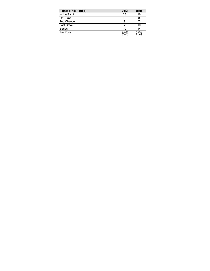| <b>Points (This Period)</b> | <b>UTM</b>     | <b>BAR</b>     |
|-----------------------------|----------------|----------------|
| In the Paint                | 28             | 16             |
| Off Turns                   | 3              |                |
| 2nd Chance                  | 9              |                |
| <b>Fast Break</b>           |                | 10             |
| Bench                       | 10             | 14             |
| Per Poss                    | 0.929<br>20/42 | 1.068<br>21/44 |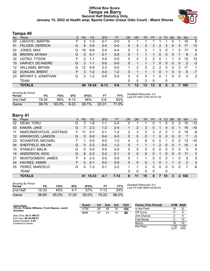### **Official Box Score Tampa vs Barry Second Half Statistics Only January 15, 2022 at Health amp; Sports Center (Cesar Odio Court) - Miami Shores**



# **Tampa 49**

| No. | Player                 | S  | <b>Pts</b>     | <b>FG</b> | 3FG      | <b>FT</b> | <b>OR</b> | <b>DR</b> | TR       | PF          | A        | TO       | <b>B</b> lk  | Stl         | Min | $+/-$          |
|-----|------------------------|----|----------------|-----------|----------|-----------|-----------|-----------|----------|-------------|----------|----------|--------------|-------------|-----|----------------|
| 00  | LAKOVIC, MARTIN        | F. | 2              | $1 - 3$   | $0 - 1$  | $0 - 0$   | 0         |           |          |             |          |          | 0            |             | 16  | 6              |
| 01  | <b>FELDER, DERRICK</b> | G  | 8              | $3-6$     | $2 - 4$  | $0 - 0$   | 0         | 2         | 2        | 3           | 2        | 2        | 0            | 2           | 17  | 13             |
| 02  | JONES, MAX             | G  | 18             | $6 - 9$   | $2 - 4$  | $4 - 4$   | 0         | 2         | 2        | 1           | 3        | $\Omega$ | 1            | 0           | 17  | 9              |
| 05  | <b>BROWN, MYKAH</b>    | G  | $\Omega$       | $0 - 1$   | $0 - 1$  | $0 - 0$   | 0         |           |          |             | $\Omega$ | $\Omega$ | $\Omega$     | 1           | 8   | $\overline{4}$ |
| 32  | LEITAO, TYSON          | F  | $\mathcal{P}$  | 1-1       | $0-0$    | $0 - 0$   | 0         | 2         | 2        | 2           | 0        |          |              | 0           | 15  | 15             |
| 10  | HARVEY, DE'ANDRE       | G  | $\overline{2}$ | $1 - 1$   | $0 - 0$  | $0 - 0$   | 0         | 1         |          |             | 0        | 0        | $\mathbf{0}$ | 0           | 2   | $-3$           |
| 12  | <b>WILLIAMS, BRYAN</b> | G  | 12             | $5-9$     | $2 - 3$  | $0 - 0$   |           | 2         | 3        | 2           | 2        | 0        | 0            | 3           | 17  | 1              |
| 22  | <b>DUNCAN, BRENT</b>   | F. | 3              | $1 - 2$   | $0 - 0$  | $1 - 2$   | 0         |           |          |             | 0        |          | $\mathbf{0}$ | 0           | 5   | $-7$           |
| 23  | BRYANT II, JONATHAN    | G  | 2              | $1 - 2$   | $0 - 0$  | $0 - 0$   | 0         | 0         | 0        |             | 0        |          | 0            | $\mathbf 0$ | 4   | 2              |
|     | <b>TEAM</b>            |    |                |           |          |           | 0         | 0         | $\Omega$ | $\mathbf 0$ |          | 0        |              |             |     |                |
|     | <b>TOTALS</b>          |    | 49             | 19-34     | $6 - 13$ | $5-6$     |           | 12        | 13       | 13          | 8        | 6        | 2            |             | 100 |                |

| <b>Shooting By Period</b><br>Period | FG    | FG%      | 3FG      | 3FG%  | FT.       | FT%           | Deadball Rebounds: 4,4<br>Last FG Half: UTM 3rd-01:25 |
|-------------------------------------|-------|----------|----------|-------|-----------|---------------|-------------------------------------------------------|
| 2nd Half                            | 19-34 | 56%      | $6-13$   | 46%   | 5-6       | 83%           |                                                       |
| Game                                | 38-76 | $50.0\%$ | $6 - 23$ | 26.1% | $22 - 31$ | $1.0\%$<br>71 |                                                       |

# **Barry 41**

| No. | Player                   | S  | Pts | <b>FG</b> | 3FG     | <b>FT</b> | <b>OR</b> | <b>DR</b> | TR           | PF           | A | TO       | <b>Blk</b> | Stl            | Min            | $+/-$          |
|-----|--------------------------|----|-----|-----------|---------|-----------|-----------|-----------|--------------|--------------|---|----------|------------|----------------|----------------|----------------|
| 02  | DEAN, TORU               | G  | 3   | 1-6       | 1-1     | $0 - 0$   | 0         |           |              | 0            |   | 0        | 0          | 0              | 10             | $-12$          |
| 03  | KAKAR, JAKE              | G  | 7   | $2 - 3$   | $1 - 2$ | $2 - 4$   |           | 2         | 3            | 0            |   | 4        | $\Omega$   |                | 16             | $-10$          |
| 11  | MARCINKEVICIUS, JUSTINAS | F  |     | $5 - 7$   | $0 - 1$ | $1 - 2$   | 2         | 3         | 5            | 3            | 2 | 2        |            | 0              | 19             | -8             |
| 12  | KIRKWOOD, LANDON         | G  | 0   | $0 - 0$   | $0 - 0$ | $0 - 0$   | 0         | $\Omega$  | $\Omega$     |              | 0 | 0        | 0          | $\Omega$       | 7              | $-3$           |
| 23  | <b>SCHAEFER, MICHAEL</b> | F. |     | $0 - 5$   | $0 - 0$ | $1 - 2$   | 4         | 2         | 6            | $\Omega$     | 0 | 1        | 0          | $\Omega$       | 13             | $-16$          |
| 04  | SHEFFIELD, MILON         | G  | 5   | $2 - 3$   | $0 - 0$ | $1 - 2$   | 0         |           |              |              | 2 | 0        | 0          |                | 10             | $\overline{4}$ |
| 10  | <b>STANLEY, MALIK</b>    | G  | 0   | $0 - 0$   | $0 - 0$ | $0 - 0$   | 0         | $\Omega$  | 0            | $\Omega$     | 0 | 0        | 0          | $\Omega$       | 0              | 0              |
| 14  | <b>ANDERSON, NICK</b>    | G  | 6   | $2 - 2$   | $2 - 2$ | $0 - 1$   | $\Omega$  | $\Omega$  | $\Omega$     | $\Omega$     | 1 | $\Omega$ | $\Omega$   | $\Omega$       | 11             | 3              |
| 21  | MONTGOMERY, JAMES        | F  | 4   | $2 - 3$   | $0 - 0$ | $0 - 0$   | 0         |           | 1.           | $\Omega$     | 0 | 2        |            | 0              | 5              | 5              |
| 24  | HAYNES, AMARI            | F  | 0   | $0 - 1$   | $0 - 0$ | $0 - 0$   | $\Omega$  | 0         | $\mathbf{0}$ |              | 0 | 1        |            | $\Omega$       | $\overline{2}$ | 3              |
| 25  | PEREZ, MARCELO           | G  | 4   | 1-3       | $0 - 1$ | $2 - 2$   |           |           | 2            | 0            | 0 | 0        | 0          | $\Omega$       |                | -6             |
|     | <b>TEAM</b>              |    |     |           |         |           | 0         | 0         | 0            | $\mathbf{0}$ |   | 0        |            |                |                |                |
|     | <b>TOTALS</b>            |    | 41  | 15-33     | $4 - 7$ | $7 - 13$  | 8         | 11        | 19           | 6            | 7 | 10       | 3          | $\overline{2}$ | 100            |                |

| <b>Shooting By Period</b><br>Period | FG        | FG%   | 3FG       | 3FG%  |        | FT%   |
|-------------------------------------|-----------|-------|-----------|-------|--------|-------|
| 2nd Half                            | 15-33     | 45%   | 4-7       | 57%   | $7-13$ | 54%   |
| Game                                | $36 - 80$ | 45.0% | $11 - 20$ | 55.0% | 15-22  | 68.2% |

*Deadball Rebounds:* 6,4 *Last FG Half:* BAR 3rd-00:03

| Game Notes:                                                   | <b>Score</b> | 1st | 2nd | 3rd | тот | <b>Points (This Period)</b> | <b>UTM</b>                 | <b>BAR</b>     |
|---------------------------------------------------------------|--------------|-----|-----|-----|-----|-----------------------------|----------------------------|----------------|
| Officials: Freddie Williams, Frank Raposo, Justin<br>Gonzalez | UTM          | 39  | 49  | 16  | 104 | In the Paint                | 18                         | 22             |
|                                                               | <b>BAR</b>   | 47  | 41  | 10  | 98  | Off Turns                   |                            |                |
| Start Time: 04:11 PM ET                                       |              |     |     |     |     | 2nd Chance                  |                            |                |
| End Time: 06:36 PM ET<br>Game Duration: 2:24                  |              |     |     |     |     | <b>Fast Break</b>           |                            | 10             |
| Conference Game:                                              |              |     |     |     |     | Bench                       | 19                         | 19             |
|                                                               |              |     |     |     |     | Per Poss                    | 1.195<br>22/4 <sup>1</sup> | 1.025<br>19/40 |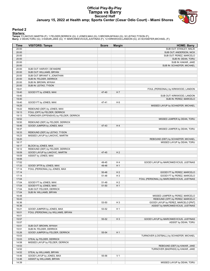# **Official Play-By-Play Tampa vs Barry Second Half January 15, 2022 at Health amp; Sports Center (Cesar Odio Court) - Miami Shores**



### **Period 2**

#### **Starters:**

**Tampa**: 0 LAKOVIC,MARTIN (F); 1 FELDER,DERRICK (G); 2 JONES,MAX (G); 5 BROWN,MYKAH (G); 32 LEITAO,TYSON (F);<br>**Barry**: 2 DEAN,TORU (G); 3 KAKAR,JAKE (G); 11 MARCINKEVICIUS,JUSTINAS (F); 12 KIRKWOOD,LANDON (G); 23 SCHAEFER,

| Time           | <b>VISITORS: Tampa</b>                                           | <b>Score</b> | <b>Margin</b>  | <b>HOME: Barry</b>                          |
|----------------|------------------------------------------------------------------|--------------|----------------|---------------------------------------------|
| 20:00          |                                                                  |              |                | SUB OUT: STANLEY, MALIK                     |
| 20:00          |                                                                  |              |                | SUB OUT: ANDERSON, NICK                     |
| 20:00          |                                                                  |              |                | SUB OUT: PEREZ, MARCELO                     |
| 20:00          |                                                                  |              |                | SUB IN: DEAN, TORU                          |
| 20:00          |                                                                  |              |                | SUB IN: KAKAR, JAKE                         |
| 20:00          |                                                                  |              |                | SUB IN: SCHAEFER, MICHAEL                   |
| 20:00          | SUB OUT: HARVEY, DE'ANDRE                                        |              |                |                                             |
| 20:00          | SUB OUT: WILLIAMS, BRYAN                                         |              |                |                                             |
| 20:00          | SUB OUT: BRYANT II, JONATHAN                                     |              |                |                                             |
| 20:00          | SUB IN: FELDER, DERRICK<br>SUB IN: BROWN, MYKAH                  |              |                |                                             |
| 20:00<br>20:00 | SUB IN: LEITAO, TYSON                                            |              |                |                                             |
| 19:41          |                                                                  |              |                | FOUL (PERSONAL) by KIRKWOOD, LANDON         |
| 19:40          | GOOD! FT by JONES, MAX                                           | 47-40        | H 7            |                                             |
| 19:40          |                                                                  |              |                | SUB OUT: KIRKWOOD, LANDON                   |
| 19:40          |                                                                  |              |                | SUB IN: PEREZ, MARCELO                      |
| 19:40          | GOOD! FT by JONES, MAX                                           | 47-41        | H <sub>6</sub> |                                             |
| 19:25          |                                                                  |              |                | MISSED LAYUP by SCHAEFER, MICHAEL           |
| 19:22          | REBOUND (DEF) by JONES, MAX                                      |              |                |                                             |
| 19:13          | FOUL (OFF) by FELDER, DERRICK                                    |              |                |                                             |
| 19:13          | TURNOVER (OFFENSIVE) by FELDER, DERRICK                          |              |                |                                             |
| 18:52          |                                                                  |              |                | MISSED JUMPER by DEAN, TORU                 |
| 18:50          | REBOUND (DEF) by FELDER, DERRICK                                 |              |                |                                             |
| 18:46          | GOOD! JUMPER by JONES, MAX                                       | 47-43        | H4             |                                             |
| 18:37          |                                                                  |              |                | MISSED JUMPER by DEAN, TORU                 |
| 18:33          | REBOUND (DEF) by LEITAO, TYSON                                   |              |                |                                             |
| 18:23          | MISSED LAYUP by LAKOVIC, MARTIN                                  |              |                |                                             |
| 18:20          |                                                                  |              |                | REBOUND (DEF) by SCHAEFER, MICHAEL          |
| 18:17          |                                                                  |              |                | MISSED LAYUP by DEAN, TORU                  |
| 18:17<br>18:12 | BLOCK by JONES, MAX<br>REBOUND (DEF) by FELDER, DERRICK          |              |                |                                             |
| 18:09          | GOOD! LAYUP by LAKOVIC, MARTIN                                   | 47-45        | H <sub>2</sub> |                                             |
| 18:09          | ASSIST by JONES, MAX                                             |              |                |                                             |
| 18:06          |                                                                  |              |                |                                             |
| 17:52          |                                                                  | 49-45        | H <sub>4</sub> | GOOD! LAYUP by MARCINKEVICIUS, JUSTINAS     |
| 17:33          | GOOD! 3PTR by JONES, MAX                                         | 49-48        | H <sub>1</sub> |                                             |
| 17:14          | FOUL (PERSONAL) by JONES, MAX                                    |              |                |                                             |
| 17:14          |                                                                  | 50-48        | H <sub>2</sub> | GOOD! FT by PEREZ, MARCELO                  |
| 17:14          |                                                                  | 51-48        | H <sub>3</sub> | GOOD! FT by PEREZ, MARCELO                  |
| 17:04          |                                                                  |              |                | FOUL (PERSONAL) by MARCINKEVICIUS, JUSTINAS |
| 17:04          | GOOD! FT by JONES, MAX                                           | 51-49        | H <sub>2</sub> |                                             |
| 17:04          | GOOD! FT by JONES, MAX                                           | 51-50        | H1             |                                             |
| 17:04          | SUB OUT: FELDER, DERRICK                                         |              |                |                                             |
| 17:04          | SUB IN: WILLIAMS, BRYAN                                          |              |                |                                             |
| 16:48          |                                                                  |              |                | MISSED JUMPER by PEREZ, MARCELO             |
| 16:43          |                                                                  |              |                | REBOUND (OFF) by PEREZ, MARCELO             |
| 16:36          |                                                                  | 53-50        | $H_3$          | GOOD! LAYUP by PEREZ, MARCELO [PNT]         |
| 16:36          |                                                                  |              |                | ASSIST by MARCINKEVICIUS, JUSTINAS          |
| 16:21<br>16:01 | GOOD! JUMPER by JONES, MAX<br>FOUL (PERSONAL) by WILLIAMS, BRYAN | 53-52        | H <sub>1</sub> |                                             |
| 16:01          |                                                                  |              |                |                                             |
| 15:57          |                                                                  | 55-52        | $H_3$          | GOOD! LAYUP by MARCINKEVICIUS, JUSTINAS     |
| 15:57          |                                                                  |              |                | ASSIST by DEAN, TORU                        |
| 15:51          | SUB OUT: BROWN, MYKAH                                            |              |                |                                             |
| 15:51          | SUB IN: FELDER, DERRICK                                          |              |                |                                             |
| 15:26          | GOOD! JUMPER by FELDER, DERRICK                                  | 55-54        | H <sub>1</sub> |                                             |
| 15:03          |                                                                  |              |                | TURNOVER (LOSTBALL) by SCHAEFER, MICHAEL    |
| 15:03          | STEAL by FELDER, DERRICK                                         |              |                |                                             |
| 14:58          | MISSED LAYUP by FELDER, DERRICK                                  |              |                |                                             |
| 14:53          |                                                                  |              |                | REBOUND (DEF) by KAKAR, JAKE                |
| 14:52          |                                                                  |              |                | TURNOVER (BADPASS) by KAKAR, JAKE           |
| 14:52          | STEAL by WILLIAMS, BRYAN                                         |              |                |                                             |
| 14:46          | GOOD! LAYUP by JONES, MAX                                        | 55-56        | V <sub>1</sub> |                                             |
| 14:46          | ASSIST by WILLIAMS, BRYAN                                        |              |                |                                             |
| 14:39          |                                                                  |              |                | MISSED LAYUP by DEAN, TORU                  |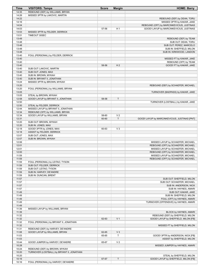| Time           | <b>VISITORS: Tampa</b>                           | <b>Score</b> | <b>Margin</b>        | <b>HOME: Barry</b>                            |
|----------------|--------------------------------------------------|--------------|----------------------|-----------------------------------------------|
| 14:35          | REBOUND (DEF) by WILLIAMS, BRYAN                 |              |                      |                                               |
| 14:26          | MISSED 3PTR by LAKOVIC, MARTIN                   |              |                      |                                               |
| 14:22          |                                                  |              |                      | REBOUND (DEF) by DEAN, TORU                   |
| 14:16          |                                                  |              |                      | MISSED 3PTR by KAKAR, JAKE                    |
| 14:04          |                                                  |              |                      | REBOUND (OFF) by MARCINKEVICIUS, JUSTINAS     |
| 14:03          |                                                  | 57-56        | H <sub>1</sub>       | GOOD! LAYUP by MARCINKEVICIUS, JUSTINAS       |
| 13:53          | MISSED 3PTR by FELDER, DERRICK                   |              |                      |                                               |
| 13:51          | TIMEOUT 30SEC                                    |              |                      |                                               |
| 13:49          |                                                  |              |                      | REBOUND (DEF) by TEAM                         |
| 13:48          |                                                  |              |                      | SUB OUT: DEAN, TORU                           |
| 13:48          |                                                  |              |                      | SUB OUT: PEREZ, MARCELO                       |
| 13:48          |                                                  |              |                      | SUB IN: SHEFFIELD, MILON                      |
| 13:48          |                                                  |              |                      | SUB IN: KIRKWOOD, LANDON                      |
| 13:40          | FOUL (PERSONAL) by FELDER, DERRICK               |              |                      |                                               |
| 13:40          |                                                  |              |                      | MISSED FT by KAKAR, JAKE                      |
| 13:40          |                                                  |              |                      | REBOUND (OFF) by TEAM                         |
| 13:40          |                                                  | 58-56        | H <sub>2</sub>       | GOOD! FT by KAKAR, JAKE                       |
| 13:40          | SUB OUT: LAKOVIC, MARTIN                         |              |                      |                                               |
| 13:40          | SUB OUT: JONES, MAX                              |              |                      |                                               |
| 13:40          | SUB IN: BROWN, MYKAH                             |              |                      |                                               |
| 13:40          | SUB IN: BRYANT II, JONATHAN                      |              |                      |                                               |
| 13:24          | MISSED 3PTR by BROWN, MYKAH                      |              |                      |                                               |
| 13:20          |                                                  |              |                      | REBOUND (DEF) by SCHAEFER, MICHAEL            |
| 13:20          | FOUL (PERSONAL) by WILLIAMS, BRYAN               |              |                      |                                               |
| 13:05          |                                                  |              |                      | TURNOVER (BADPASS) by KAKAR, JAKE             |
| 13:05          | STEAL by BROWN, MYKAH                            |              |                      |                                               |
| 12:58          | GOOD! LAYUP by BRYANT II, JONATHAN               | 58-58        | T                    |                                               |
| 12:50          |                                                  |              |                      | TURNOVER (LOSTBALL) by KAKAR, JAKE            |
| 12:50          | STEAL by FELDER, DERRICK                         |              |                      |                                               |
| 12:44          | MISSED LAYUP by BRYANT II, JONATHAN              |              |                      |                                               |
| 12:34          | REBOUND (OFF) by WILLIAMS, BRYAN                 |              |                      |                                               |
| 12:34          | GOOD! LAYUP by WILLIAMS, BRYAN                   | 58-60        | V <sub>2</sub><br>T. |                                               |
| 12:31          |                                                  | 60-60        |                      | GOOD! LAYUP by MARCINKEVICIUS, JUSTINAS [PNT] |
| 12:20          | SUB OUT: BROWN, MYKAH                            |              |                      |                                               |
| 12:20<br>12:18 | SUB IN: JONES, MAX                               |              |                      |                                               |
| 12:18          | GOOD! 3PTR by JONES, MAX                         | 60-63        | $V_3$                |                                               |
| 12:07          | ASSIST by FELDER, DERRICK<br>SUB OUT: JONES, MAX |              |                      |                                               |
| 12:07          |                                                  |              |                      |                                               |
| 12:06          | SUB IN: BROWN, MYKAH                             |              |                      | MISSED LAYUP by SCHAEFER, MICHAEL             |
| 12:01          |                                                  |              |                      | REBOUND (OFF) by SCHAEFER, MICHAEL            |
| 12:01          |                                                  |              |                      | MISSED LAYUP by SCHAEFER, MICHAEL             |
| 12:00          |                                                  |              |                      | REBOUND (OFF) by SCHAEFER, MICHAEL            |
| 11:59          |                                                  |              |                      | MISSED LAYUP by SCHAEFER, MICHAEL             |
| 11:59          |                                                  |              |                      | REBOUND (OFF) by SCHAEFER, MICHAEL            |
| 11:59          | FOUL (PERSONAL) by LEITAO, TYSON                 |              |                      |                                               |
| 11:59          | SUB OUT: FELDER, DERRICK                         |              |                      |                                               |
| 11:59          | SUB OUT: LEITAO, TYSON                           |              |                      |                                               |
| 11:59          | SUB IN: HARVEY, DE'ANDRE                         |              |                      |                                               |
| 11:59          | SUB IN: DUNCAN, BRENT                            |              |                      |                                               |
| 11:57          |                                                  |              |                      | SUB OUT: SHEFFIELD, MILON                     |
| 11:57          |                                                  |              |                      | SUB OUT: SCHAEFER, MICHAEL                    |
| 11:57          |                                                  |              |                      | SUB IN: ANDERSON, NICK                        |
| 11:57          |                                                  |              |                      | SUB IN: HAYNES, AMARI                         |
| 11:49          |                                                  |              |                      | SUB OUT: KAKAR, JAKE                          |
| 11:49          |                                                  |              |                      | SUB IN: SHEFFIELD, MILON                      |
| 11:49          |                                                  |              |                      | FOUL (OFF) by HAYNES, AMARI                   |
| 11:49          |                                                  |              |                      | TURNOVER (OFFENSIVE) by HAYNES, AMARI         |
| 11:49          |                                                  |              |                      |                                               |
| 11:39          | MISSED LAYUP by WILLIAMS, BRYAN                  |              |                      |                                               |
| 11:39          |                                                  |              |                      | BLOCK by HAYNES, AMARI                        |
| 11:32          |                                                  |              |                      | REBOUND (DEF) by SHEFFIELD, MILON             |
| 11:32          |                                                  | 62-63        | V <sub>1</sub>       | GOOD! LAYUP by SHEFFIELD, MILON [FB]          |
| 11:32          | FOUL (PERSONAL) by BRYANT II, JONATHAN           |              |                      |                                               |
| 11:32          |                                                  |              |                      | MISSED FT by SHEFFIELD, MILON                 |
| 11:31          | REBOUND (DEF) by HARVEY, DE'ANDRE                |              |                      |                                               |
| 11:08          | GOOD! LAYUP by WILLIAMS, BRYAN                   | 62-65        | $V_3$                |                                               |
| 11:03          |                                                  | 65-65        | T                    | GOOD! 3PTR by ANDERSON, NICK [FB]             |
| 11:03          |                                                  |              |                      | ASSIST by SHEFFIELD, MILON                    |
| 10:44          | GOOD! JUMPER by HARVEY, DE'ANDRE                 | 65-67        | V <sub>2</sub>       |                                               |
| 10:28          |                                                  |              |                      | MISSED JUMPER by HAYNES, AMARI                |
| 10:24          | REBOUND (DEF) by BROWN, MYKAH                    |              |                      |                                               |
| 10:20          | TURNOVER (LOSTBALL) by BRYANT II, JONATHAN       |              |                      |                                               |
| 10:20          |                                                  |              |                      | STEAL by SHEFFIELD, MILON                     |
| 10:16          |                                                  | 67-67        | T                    | GOOD! LAYUP by SHEFFIELD, MILON [FB]          |
| 10:16          | FOUL (PERSONAL) by HARVEY, DE'ANDRE              |              |                      |                                               |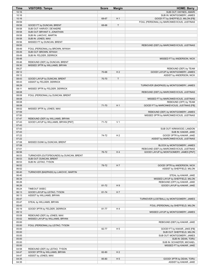| Time           | <b>VISITORS: Tampa</b>                        | <b>Score</b> | <b>Margin</b>  | <b>HOME: Barry</b>                          |
|----------------|-----------------------------------------------|--------------|----------------|---------------------------------------------|
| 10:16          |                                               |              |                | SUB OUT: HAYNES, AMARI                      |
| 10:16          |                                               |              |                | SUB IN: MONTGOMERY, JAMES                   |
| 10:16          |                                               | 68-67        | H <sub>1</sub> | GOOD! FT by SHEFFIELD, MILON [FB]           |
| 09:59          |                                               |              |                | FOUL (PERSONAL) by MARCINKEVICIUS, JUSTINAS |
| 09:58          | GOOD! FT by DUNCAN, BRENT                     | 68-68        | $\mathsf{T}$   |                                             |
| 09:58          | SUB OUT: HARVEY, DE'ANDRE                     |              |                |                                             |
| 09:58          | SUB OUT: BRYANT II, JONATHAN                  |              |                |                                             |
| 09:58          | SUB IN: LAKOVIC, MARTIN                       |              |                |                                             |
| 09:58          | SUB IN: JONES, MAX                            |              |                |                                             |
| 09:56          | MISSED FT by DUNCAN, BRENT                    |              |                |                                             |
| 09:55          |                                               |              |                | REBOUND (DEF) by MARCINKEVICIUS, JUSTINAS   |
| 09:49          | FOUL (PERSONAL) by BROWN, MYKAH               |              |                |                                             |
| 09:49          | SUB OUT: BROWN, MYKAH                         |              |                |                                             |
| 09:49          | SUB IN: FELDER, DERRICK                       |              |                |                                             |
| 09:48          |                                               |              |                | MISSED FT by ANDERSON, NICK                 |
| 09:46          | REBOUND (DEF) by DUNCAN, BRENT                |              |                |                                             |
| 09:30          | MISSED 3PTR by WILLIAMS, BRYAN                |              |                |                                             |
| 09:27          |                                               |              |                | REBOUND (DEF) by TEAM                       |
| 09:12          |                                               | 70-68        | H <sub>2</sub> | GOOD! LAYUP by MONTGOMERY, JAMES            |
| 09:12<br>08:43 | GOOD! LAYUP by DUNCAN, BRENT                  | 70-70        | $\mathsf{T}$   | ASSIST by ANDERSON, NICK                    |
| 08:43          | ASSIST by FELDER, DERRICK                     |              |                |                                             |
| 08:29          |                                               |              |                | TURNOVER (BADPASS) by MONTGOMERY, JAMES     |
| 08:11          | MISSED 3PTR by FELDER, DERRICK                |              |                |                                             |
| 08:08          |                                               |              |                | REBOUND (DEF) by MARCINKEVICIUS, JUSTINAS   |
| 08:08          | FOUL (PERSONAL) by DUNCAN, BRENT              |              |                |                                             |
| 08:08          |                                               |              |                | MISSED FT by MARCINKEVICIUS, JUSTINAS       |
| 08:08          |                                               |              |                | REBOUND (OFF) by TEAM                       |
| 08:08          |                                               | 71-70        | H <sub>1</sub> | GOOD! FT by MARCINKEVICIUS, JUSTINAS [FB]   |
| 08:02          | MISSED 3PTR by JONES, MAX                     |              |                |                                             |
| 07:59          |                                               |              |                | REBOUND (DEF) by MONTGOMERY, JAMES          |
| 07:50          |                                               |              |                | MISSED 3PTR by MARCINKEVICIUS, JUSTINAS     |
| 07:47          | REBOUND (DEF) by WILLIAMS, BRYAN              |              |                |                                             |
| 07:43          | GOOD! LAYUP by WILLIAMS, BRYAN [PNT]          | 71-72        | V <sub>1</sub> |                                             |
| 07:43          |                                               |              |                |                                             |
| 07:43          |                                               |              |                | SUB OUT: KIRKWOOD, LANDON                   |
| 07:43          |                                               |              |                | SUB IN: KAKAR, JAKE                         |
| 07:22          |                                               | 74-72        | H <sub>2</sub> | GOOD! 3PTR by KAKAR, JAKE                   |
| 07:22          |                                               |              |                | ASSIST by MARCINKEVICIUS, JUSTINAS          |
| 07:08          | MISSED DUNK by DUNCAN, BRENT                  |              |                |                                             |
| 07:08          |                                               |              |                | BLOCK by MONTGOMERY, JAMES                  |
| 07:01          |                                               |              |                | REBOUND (DEF) by MARCINKEVICIUS, JUSTINAS   |
| 06:56          |                                               | 76-72        | H <sub>4</sub> | GOOD! LAYUP by MONTGOMERY, JAMES [PNT]      |
| 06:53          | TURNOVER (OUTOFBOUNDS) by DUNCAN, BRENT       |              |                |                                             |
| 06:53          | SUB OUT: DUNCAN, BRENT                        |              |                |                                             |
| 06:53          | SUB IN: LEITAO, TYSON                         |              |                |                                             |
| 06:52          |                                               | 79-72        | H7             | GOOD! 3PTR by ANDERSON, NICK                |
| 06:52          |                                               |              |                | ASSIST by SHEFFIELD, MILON                  |
| 06:40          | TURNOVER (BADPASS) by LAKOVIC, MARTIN         |              |                |                                             |
| 06:40          |                                               |              |                | STEAL by KAKAR, JAKE                        |
| 06:34          |                                               |              |                | MISSED LAYUP by SHEFFIELD, MILON            |
| 06:26          |                                               |              |                | REBOUND (OFF) by KAKAR, JAKE                |
| 06:26          |                                               | 81-72        | H <sub>9</sub> | GOOD! LAYUP by KAKAR, JAKE                  |
| 06:24<br>06:13 | TIMEOUT 30SEC<br>GOOD! LAYUP by LEITAO, TYSON | 81-74        | H7             |                                             |
| 06:13          | ASSIST by WILLIAMS, BRYAN                     |              |                |                                             |
| 05:47          |                                               |              |                | TURNOVER (LOSTBALL) by MONTGOMERY, JAMES    |
| 05:47          | STEAL by WILLIAMS, BRYAN                      |              |                |                                             |
| 05:43          |                                               |              |                | FOUL (PERSONAL) by SHEFFIELD, MILON         |
| 05:19          | GOOD! 3PTR by FELDER, DERRICK                 | 81-77        | H <sub>4</sub> |                                             |
| 05:12          |                                               |              |                | MISSED LAYUP by MONTGOMERY, JAMES           |
| 05:08          | REBOUND (DEF) by JONES, MAX                   |              |                |                                             |
| 05:02          | MISSED LAYUP by WILLIAMS, BRYAN               |              |                |                                             |
| 05:00          |                                               |              |                | REBOUND (DEF) by KAKAR, JAKE                |
| 05:00          | FOUL (PERSONAL) by LEITAO, TYSON              |              |                |                                             |
| 05:00          |                                               | 82-77        | H <sub>5</sub> | GOOD! FT by KAKAR, JAKE [FB]                |
| 05:00          |                                               |              |                | SUB OUT: SHEFFIELD, MILON                   |
| 05:00          |                                               |              |                | SUB OUT: MONTGOMERY, JAMES                  |
| 05:00          |                                               |              |                | SUB IN: DEAN, TORU                          |
| 05:00          |                                               |              |                | SUB IN: SCHAEFER, MICHAEL                   |
| 05:00          |                                               |              |                | MISSED FT by KAKAR, JAKE                    |
| 04:58          | REBOUND (DEF) by LEITAO, TYSON                |              |                |                                             |
| 04:47          | GOOD! 3PTR by WILLIAMS, BRYAN                 | 82-80        | H <sub>2</sub> |                                             |
| 04:47          | ASSIST by JONES, MAX                          |              |                |                                             |
| 04:35          |                                               | 85-80        | H <sub>5</sub> | GOOD! 3PTR by DEAN, TORU                    |
| 04:35          |                                               |              |                | ASSIST by KAKAR, JAKE                       |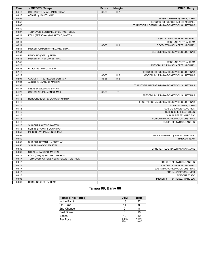| <b>Time</b> | <b>VISITORS: Tampa</b>                  | <b>Score</b> | <b>Margin</b>  | <b>HOME: Barry</b>                              |
|-------------|-----------------------------------------|--------------|----------------|-------------------------------------------------|
| 04:18       | GOOD! 3PTR by WILLIAMS, BRYAN           | 85-83        | H <sub>2</sub> |                                                 |
| 04:18       | ASSIST by JONES, MAX                    |              |                |                                                 |
| 03:56       |                                         |              |                | MISSED JUMPER by DEAN, TORU                     |
| 03:52       |                                         |              |                | REBOUND (OFF) by SCHAEFER, MICHAEL              |
| 03:40       |                                         |              |                | TURNOVER (LOSTBALL) by MARCINKEVICIUS, JUSTINAS |
| 03:40       |                                         |              |                |                                                 |
| 03:27       | TURNOVER (LOSTBALL) by LEITAO, TYSON    |              |                |                                                 |
| 03:11       | FOUL (PERSONAL) by LAKOVIC, MARTIN      |              |                |                                                 |
| 03:11       |                                         |              |                | MISSED FT by SCHAEFER, MICHAEL                  |
| 03:11       |                                         |              |                | REBOUND (OFF) by TEAM                           |
| 03:11       |                                         | 86-83        | $H_3$          | GOOD! FT by SCHAEFER, MICHAEL                   |
| 02:54       | MISSED JUMPER by WILLIAMS, BRYAN        |              |                |                                                 |
| 02:54       |                                         |              |                | BLOCK by MARCINKEVICIUS, JUSTINAS               |
| 02:53       | REBOUND (OFF) by TEAM                   |              |                |                                                 |
| 02:48       | MISSED 3PTR by JONES, MAX               |              |                |                                                 |
| 02:45       |                                         |              |                | REBOUND (DEF) by TEAM                           |
| 02:23       |                                         |              |                | MISSED LAYUP by SCHAEFER, MICHAEL               |
| 02:23       | BLOCK by LEITAO, TYSON                  |              |                |                                                 |
| 02:12       |                                         |              |                | REBOUND (OFF) by MARCINKEVICIUS, JUSTINAS       |
| 02:12       |                                         | 88-83        | H <sub>5</sub> | GOOD! LAYUP by MARCINKEVICIUS, JUSTINAS         |
| 02:04       | GOOD! 3PTR by FELDER, DERRICK           | 88-86        | H <sub>2</sub> |                                                 |
| 02:04       | ASSIST by LAKOVIC, MARTIN               |              |                |                                                 |
|             |                                         |              |                |                                                 |
| 01:37       |                                         |              |                | TURNOVER (BADPASS) by MARCINKEVICIUS, JUSTINAS  |
| 01:37       | STEAL by WILLIAMS, BRYAN                |              | T              |                                                 |
| 01:28       | GOOD! LAYUP by JONES, MAX               | 88-88        |                |                                                 |
| 01:18       |                                         |              |                | MISSED LAYUP by MARCINKEVICIUS, JUSTINAS        |
| 01:15       | REBOUND (DEF) by LAKOVIC, MARTIN        |              |                |                                                 |
| 01:15       |                                         |              |                | FOUL (PERSONAL) by MARCINKEVICIUS, JUSTINAS     |
| 01:15       |                                         |              |                | SUB OUT: DEAN, TORU                             |
| 01:15       |                                         |              |                | SUB OUT: ANDERSON, NICK                         |
| 01:15       |                                         |              |                | SUB IN: SHEFFIELD, MILON                        |
| 01:15       |                                         |              |                | SUB IN: PEREZ, MARCELO                          |
| 01:15       |                                         |              |                | SUB OUT: MARCINKEVICIUS, JUSTINAS               |
| 01:15       |                                         |              |                | SUB IN: KIRKWOOD, LANDON                        |
| 01:15       | SUB OUT: LAKOVIC, MARTIN                |              |                |                                                 |
| 01:15       | SUB IN: BRYANT II, JONATHAN             |              |                |                                                 |
| 00:59       | MISSED LAYUP by JONES, MAX              |              |                |                                                 |
| 00:53       |                                         |              |                | REBOUND (DEF) by PEREZ, MARCELO                 |
| 00:50       |                                         |              |                | <b>TIMEOUT TEAM</b>                             |
| 00:50       | SUB OUT: BRYANT II, JONATHAN            |              |                |                                                 |
| 00:50       | SUB IN: LAKOVIC, MARTIN                 |              |                |                                                 |
| 00:39       |                                         |              |                | TURNOVER (LOSTBALL) by KAKAR, JAKE              |
| 00:39       | STEAL by LAKOVIC, MARTIN                |              |                |                                                 |
| 00:17       | FOUL (OFF) by FELDER, DERRICK           |              |                |                                                 |
| 00:17       | TURNOVER (OFFENSIVE) by FELDER, DERRICK |              |                |                                                 |
| 00:17       |                                         |              |                | SUB OUT: KIRKWOOD, LANDON                       |
| 00:17       |                                         |              |                | SUB OUT: SCHAEFER, MICHAEL                      |
| 00:17       |                                         |              |                | SUB IN: MARCINKEVICIUS, JUSTINAS                |
| 00:17       |                                         |              |                | SUB IN: ANDERSON, NICK                          |
| 00:16       |                                         |              |                | TIMEOUT 30SEC                                   |
| 00:03       |                                         |              |                | MISSED 3PTR by PEREZ, MARCELO                   |
| 00:00       | REBOUND (DEF) by TEAM                   |              |                |                                                 |

# **Tampa 88, Barry 88**

| <b>Points (This Period)</b> | <b>UTM</b>     | <b>BAR</b>     |
|-----------------------------|----------------|----------------|
| In the Paint                | 18             | 22             |
| Off Turns                   | 11             |                |
| 2nd Chance                  | 2              |                |
| <b>Fast Break</b>           |                | 10             |
| Bench                       | 19             | 19             |
| Per Poss                    | 1.195<br>22/41 | 1.025<br>19/40 |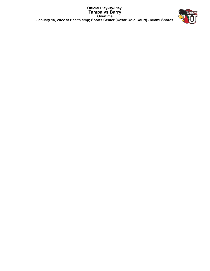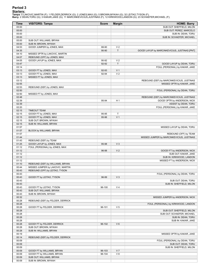# **Period 3**

<mark>Starters:</mark><br>Tampa: 0 LAKOVIC,MARTIN (F); 1 FELDER,DERRICK (G); 2 JONES,MAX (G); 5 BROWN,MYKAH (G); 32 LEITAO,TYSON (F);<br>**Barry**: 2 DEAN,TORU (G); 3 KAKAR,JAKE (G); 11 MARCINKEVICIUS,JUSTINAS (F); 12 KIRKWOOD,LANDON (G); 23

| <b>Time</b>    | <b>VISITORS: Tampa</b>                                | <b>Score</b>   | <b>Margin</b>                 | <b>HOME: Barry</b>                            |
|----------------|-------------------------------------------------------|----------------|-------------------------------|-----------------------------------------------|
| 05:00          |                                                       |                |                               | SUB OUT: SHEFFIELD, MILON                     |
| 05:00          |                                                       |                |                               | SUB OUT: PEREZ, MARCELO                       |
| 05:00          |                                                       |                |                               | SUB IN: DEAN, TORU                            |
| 05:00          |                                                       |                |                               | SUB IN: SCHAEFER, MICHAEL                     |
| 05:00          | SUB OUT: WILLIAMS, BRYAN                              |                |                               |                                               |
| 05:00          | SUB IN: BROWN, MYKAH                                  |                |                               |                                               |
| 04:53          | GOOD! JUMPER by JONES, MAX                            | 88-90          | V <sub>2</sub>                |                                               |
| 04:35          |                                                       | 90-90          | $\top$                        | GOOD! LAYUP by MARCINKEVICIUS, JUSTINAS [PNT] |
| 04:10          | MISSED 3PTR by LAKOVIC, MARTIN                        |                |                               |                                               |
| 04:07          | REBOUND (OFF) by JONES, MAX                           |                |                               |                                               |
| 04:05<br>03:47 | GOOD! LAYUP by JONES, MAX                             | 90-92<br>92-92 | V <sub>2</sub><br>$\mathsf T$ | GOOD! LAYUP by DEAN, TORU                     |
| 03:14          |                                                       |                |                               | FOUL (PERSONAL) by KAKAR, JAKE                |
| 03:13          | GOOD! FT by JONES, MAX                                | 92-93          | V <sub>1</sub>                |                                               |
| 03:13          | GOOD! FT by JONES, MAX                                | 92-94          | V <sub>2</sub>                |                                               |
| 03:13          | MISSED FT by JONES, MAX                               |                |                               |                                               |
| 03:12          |                                                       |                |                               | REBOUND (DEF) by MARCINKEVICIUS, JUSTINAS     |
| 02:55          |                                                       |                |                               | MISSED 3PTR by KAKAR, JAKE                    |
| 02:53          | REBOUND (DEF) by JONES, MAX                           |                |                               |                                               |
| 02:50          |                                                       |                |                               | FOUL (PERSONAL) by DEAN, TORU                 |
| 02:50          | MISSED FT by JONES, MAX                               |                |                               |                                               |
| 02:48          |                                                       |                |                               | REBOUND (DEF) by MARCINKEVICIUS, JUSTINAS     |
| 02:39          |                                                       | 95-94          | H <sub>1</sub>                | GOOD! 3PTR by ANDERSON, NICK                  |
| 02:39          |                                                       |                |                               | ASSIST by DEAN, TORU                          |
| 02:20          |                                                       |                |                               | FOUL (PERSONAL) by KAKAR, JAKE                |
| 02:15          | <b>TIMEOUT TEAM</b>                                   |                |                               |                                               |
| 02:15          | GOOD! FT by JONES, MAX                                | 95-95          | Т                             |                                               |
| 02:15          | GOOD! FT by JONES, MAX                                | 95-96          | V <sub>1</sub>                |                                               |
| 02:15          | SUB OUT: BROWN, MYKAH                                 |                |                               |                                               |
| 02:15<br>01:57 | SUB IN: WILLIAMS, BRYAN                               |                |                               | MISSED LAYUP by DEAN, TORU                    |
| 01:57          | BLOCK by WILLIAMS, BRYAN                              |                |                               |                                               |
| 01:57          |                                                       |                |                               | REBOUND (OFF) by TEAM                         |
| 01:44          |                                                       |                |                               | MISSED JUMPER by MARCINKEVICIUS, JUSTINAS     |
| 01:43          | REBOUND (DEF) by TEAM                                 |                |                               |                                               |
| 01:25          | GOOD! LAYUP by JONES, MAX                             | 95-98          | $V_3$                         |                                               |
| 01:12          | FOUL (PERSONAL) by JONES, MAX                         |                |                               |                                               |
| 01:12          |                                                       | 96-98          | V <sub>2</sub>                | GOOD! FT by ANDERSON, NICK                    |
| 01:12          |                                                       |                |                               | SUB OUT: KAKAR, JAKE                          |
| 01:12          |                                                       |                |                               | SUB IN: KIRKWOOD, LANDON                      |
| 01:12          |                                                       |                |                               | MISSED FT by ANDERSON, NICK                   |
| 01:10          | REBOUND (DEF) by WILLIAMS, BRYAN                      |                |                               |                                               |
| 00:44          | MISSED JUMPER by LAKOVIC, MARTIN                      |                |                               |                                               |
| 00:43          | REBOUND (OFF) by LEITAO, TYSON                        |                |                               |                                               |
| 00:43          |                                                       |                |                               | FOUL (PERSONAL) by DEAN, TORU                 |
| 00:43          | GOOD! FT by LEITAO, TYSON                             | 96-99          | $V_3$                         |                                               |
| 00:43          |                                                       |                |                               | SUB OUT: DEAN, TORU                           |
| 00:43          |                                                       |                |                               | SUB IN: SHEFFIELD, MILON                      |
| 00:43          | GOOD! FT by LEITAO, TYSON<br>SUB OUT: WILLIAMS, BRYAN | 96-100         | V <sub>4</sub>                |                                               |
| 00:43<br>00:43 | SUB IN: BROWN, MYKAH                                  |                |                               |                                               |
| 00:32          |                                                       |                |                               | MISSED JUMPER by ANDERSON, NICK               |
| 00:28          | REBOUND (DEF) by FELDER, DERRICK                      |                |                               |                                               |
| 00:28          |                                                       |                |                               | FOUL (PERSONAL) by KIRKWOOD, LANDON           |
| 00:28          | GOOD! FT by FELDER, DERRICK                           | 96-101         | V <sub>5</sub>                |                                               |
| 00:28          |                                                       |                |                               | SUB OUT: SHEFFIELD, MILON                     |
| 00:28          |                                                       |                |                               | SUB OUT: SCHAEFER, MICHAEL                    |
| 00:28          |                                                       |                |                               | SUB IN: DEAN, TORU                            |
| 00:28          |                                                       |                |                               | SUB IN: KAKAR, JAKE                           |
| 00:28          | GOOD! FT by FELDER, DERRICK                           | 96-102         | $V_6$                         |                                               |
| 00:28          | SUB OUT: BROWN, MYKAH                                 |                |                               |                                               |
| 00:28          | SUB IN: WILLIAMS, BRYAN                               |                |                               |                                               |
| 00:19          |                                                       |                |                               | MISSED 3PTR by KAKAR, JAKE                    |
| 00:14          | REBOUND (DEF) by FELDER, DERRICK                      |                |                               |                                               |
| 00:09          |                                                       |                |                               | FOUL (PERSONAL) by DEAN, TORU                 |
| 00:09          |                                                       |                |                               | SUB OUT: DEAN, TORU                           |
| 00:09          |                                                       |                |                               | SUB IN: SHEFFIELD, MILON                      |
| 00:09          | GOOD! FT by WILLIAMS, BRYAN                           | 96-103         | V <sub>7</sub>                |                                               |
| 00:09          | GOOD! FT by WILLIAMS, BRYAN                           | 96-104         | V8                            |                                               |
| 00:09          | SUB OUT: WILLIAMS, BRYAN                              |                |                               |                                               |
| 00:09          | SUB IN: BROWN, MYKAH                                  |                |                               |                                               |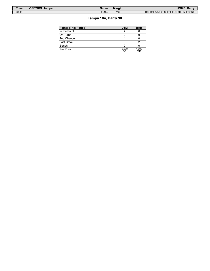| Time  | <b>VISITORS: Tampa</b> | Score  | <b>Margin</b> | <b>HOME: Barry</b>                       |
|-------|------------------------|--------|---------------|------------------------------------------|
| 00:03 |                        | 98-104 | $V_6$         | GOOD! LAYUP by SHEFFIELD. MILON IFB/PNTI |

# **Tampa 104, Barry 98**

| <b>Points (This Period)</b> | <b>UTM</b>   | <b>BAR</b>    |
|-----------------------------|--------------|---------------|
| In the Paint                |              |               |
| Off Turns                   |              |               |
| 2nd Chance                  |              |               |
| Fast Break                  |              |               |
| Bench                       |              |               |
| Per Poss                    | 2.000<br>8/8 | 1.000<br>5/10 |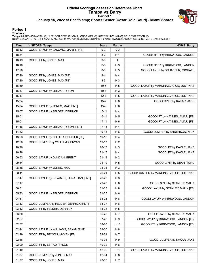# **Official Scoring/Possession Reference Chart Tampa vs Barry Period 1 January 15, 2022 at Health amp; Sports Center (Cesar Odio Court) - Miami Shores**



# **Period 1**

#### **Starters:**

**Tampa**: 0 LAKOVIC,MARTIN (F); 1 FELDER,DERRICK (G); 2 JONES,MAX (G); 5 BROWN,MYKAH (G); 32 LEITAO,TYSON (F);<br>**Barry**: 2 DEAN,TORU (G); 3 KAKAR,JAKE (G); 11 MARCINKEVICIUS,JUSTINAS (F); 12 KIRKWOOD,LANDON (G); 23 SCHAEFER,

| Time  | <b>VISITORS: Tampa</b>                   | <b>Score</b> | <b>Margin</b>  | <b>HOME: Barry</b>                       |
|-------|------------------------------------------|--------------|----------------|------------------------------------------|
| 18:43 | GOOD! LAYUP by LAKOVIC, MARTIN [FB]      | $0 - 2$      | V <sub>2</sub> |                                          |
| 18:31 |                                          | $3 - 2$      | H 1            | GOOD! 3PTR by KIRKWOOD, LANDON           |
| 18:19 | GOOD! FT by JONES, MAX                   | $3-3$        | T.             |                                          |
| 18:10 |                                          | $6 - 3$      | H <sub>3</sub> | GOOD! 3PTR by KIRKWOOD, LANDON           |
| 17:28 |                                          | $8 - 3$      | H <sub>5</sub> | GOOD! LAYUP by SCHAEFER, MICHAEL         |
| 17:20 | GOOD! FT by JONES, MAX [FB]              | 8-4          | H4             |                                          |
| 17:20 | GOOD! FT by JONES, MAX [FB]              | $8-5$        | $H_3$          |                                          |
| 16:59 |                                          | $10-5$       | H <sub>5</sub> | GOOD! LAYUP by MARCINKEVICIUS, JUSTINAS  |
| 16:37 | GOOD! LAYUP by LEITAO, TYSON             | $10 - 7$     | $H_3$          |                                          |
| 16:17 |                                          | $12 - 7$     | H <sub>5</sub> | GOOD! LAYUP by MARCINKEVICIUS, JUSTINAS  |
| 15:34 |                                          | $15 - 7$     | H <sub>8</sub> | GOOD! 3PTR by KAKAR, JAKE                |
| 15:24 | GOOD! LAYUP by JONES, MAX [PNT]          | $15-9$       | H 6            |                                          |
| 15:07 | GOOD! LAYUP by FELDER, DERRICK           | $15 - 11$    | H 4            |                                          |
| 15:01 |                                          | $16 - 11$    | H <sub>5</sub> | GOOD! FT by HAYNES, AMARI [FB]           |
| 15:01 |                                          | $17 - 11$    | H <sub>6</sub> | GOOD! FT by HAYNES, AMARI [FB]           |
| 14:46 | GOOD! LAYUP by LEITAO, TYSON [PNT]       | $17-13$      | H 4            |                                          |
| 14:33 |                                          | 19-13        | H <sub>6</sub> | GOOD! JUMPER by ANDERSON, NICK           |
| 13:23 | GOOD! LAYUP by FELDER, DERRICK [FB]      | 19-15        | H 4            |                                          |
| 12:20 | GOOD! JUMPER by WILLIAMS, BRYAN          | 19-17        | H <sub>2</sub> |                                          |
| 10:26 |                                          | $20 - 17$    | $H_3$          | GOOD! FT by KAKAR, JAKE                  |
| 10:26 |                                          | $21 - 17$    | H 4            | GOOD! FT by KAKAR, JAKE                  |
| 09:53 | GOOD! LAYUP by DUNCAN, BRENT             | $21 - 19$    | H <sub>2</sub> |                                          |
| 09:14 |                                          | 24-19        | H <sub>5</sub> | GOOD! 3PTR by DEAN, TORU                 |
| 08:58 | GOOD! LAYUP by JONES, MAX                | 24-21        | $H_3$          |                                          |
| 08:11 |                                          | 26-21        | H <sub>5</sub> | GOOD! JUMPER by MARCINKEVICIUS, JUSTINAS |
| 07:47 | GOOD! LAYUP by BRYANT II, JONATHAN [PNT] | 26-23        | $H_3$          |                                          |
| 07:17 |                                          | 29-23        | H <sub>6</sub> | GOOD! 3PTR by STANLEY, MALIK             |
| 06:51 |                                          | $31 - 23$    | H <sub>8</sub> | GOOD! LAYUP by STANLEY, MALIK [FB]       |
| 05:33 | GOOD! LAYUP by FELDER, DERRICK           | 31-25        | H <sub>6</sub> |                                          |
| 04:51 |                                          | 33-25        | H <sub>8</sub> | GOOD! LAYUP by KIRKWOOD, LANDON          |
| 03:43 | GOOD! JUMPER by FELDER, DERRICK [PNT]    | 33-27        | H 6            |                                          |
| 03:43 | GOOD! FT by FELDER, DERRICK              | 33-28        | H 5            |                                          |
| 03:30 |                                          | $35 - 28$    | H 7            | GOOD! LAYUP by STANLEY, MALIK            |
| 02:57 |                                          | 37-28        | H 9            | GOOD! LAYUP by KIRKWOOD, LANDON [FB]     |
| 02:57 |                                          | 38-28        | H 10           | GOOD! FT by KIRKWOOD, LANDON [FB]        |
| 02:44 | GOOD! LAYUP by WILLIAMS, BRYAN [PNT]     | 38-30        | H <sub>8</sub> |                                          |
| 02:29 | GOOD! FT by BROWN, MYKAH [FB]            | 38-31        | H 7            |                                          |
| 02:16 |                                          | 40-31        | H 9            | GOOD! JUMPER by KAKAR, JAKE              |
| 02:00 | GOOD! FT by LEITAO, TYSON                | 40-32        | H <sub>8</sub> |                                          |
| 01:40 |                                          | 42-32        | H 10           | GOOD! LAYUP by MARCINKEVICIUS, JUSTINAS  |
| 01:37 | GOOD! JUMPER by JONES, MAX               | 42-34        | H <sub>8</sub> |                                          |
| 01:37 | GOOD! FT by JONES, MAX                   | 42-35        | H 7            |                                          |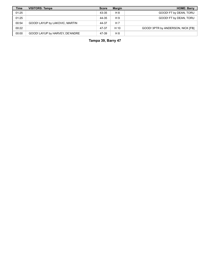| <b>Time</b> | <b>VISITORS: Tampa</b>          | <b>Score</b> | <b>Margin</b> | <b>HOME: Barry</b>                |
|-------------|---------------------------------|--------------|---------------|-----------------------------------|
| 01:25       |                                 | 43-35        | H 8           | GOOD! FT by DEAN, TORU            |
| 01:25       |                                 | 44-35        | H 9           | GOOD! FT by DEAN, TORU            |
| 00:54       | GOOD! LAYUP by LAKOVIC, MARTIN  | 44-37        | H 7           |                                   |
| 00:22       |                                 | 47-37        | H 10          | GOOD! 3PTR by ANDERSON, NICK [FB] |
| 00:00       | GOOD! LAYUP by HARVEY, DE'ANDRE | 47-39        | H 8           |                                   |

**Tampa 39, Barry 47**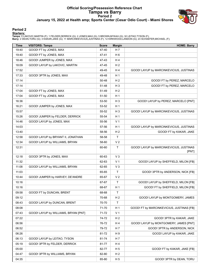# **Official Scoring/Possession Reference Chart Tampa vs Barry Period 2 January 15, 2022 at Health amp; Sports Center (Cesar Odio Court) - Miami Shores**



# **Period 2**

**Starters:**

**Tampa**: 0 LAKOVIC,MARTIN (F); 1 FELDER,DERRICK (G); 2 JONES,MAX (G); 5 BROWN,MYKAH (G); 32 LEITAO,TYSON (F);<br>**Barry**: 2 DEAN,TORU (G); 3 KAKAR,JAKE (G); 11 MARCINKEVICIUS,JUSTINAS (F); 12 KIRKWOOD,LANDON (G); 23 SCHAEFER,

| <b>Time</b> | <b>VISITORS: Tampa</b>               | <b>Score</b> | <b>Margin</b>  | <b>HOME: Barry</b>                               |
|-------------|--------------------------------------|--------------|----------------|--------------------------------------------------|
| 19:40       | GOOD! FT by JONES, MAX               | 47-40        | H 7            |                                                  |
| 19:40       | GOOD! FT by JONES, MAX               | 47-41        | H 6            |                                                  |
| 18:46       | GOOD! JUMPER by JONES, MAX           | 47-43        | H 4            |                                                  |
| 18:09       | GOOD! LAYUP by LAKOVIC, MARTIN       | 47-45        | H <sub>2</sub> |                                                  |
| 17:52       |                                      | 49-45        | H4             | GOOD! LAYUP by MARCINKEVICIUS, JUSTINAS          |
| 17:33       | GOOD! 3PTR by JONES, MAX             | 49-48        | H <sub>1</sub> |                                                  |
| 17:14       |                                      | 50-48        | H <sub>2</sub> | GOOD! FT by PEREZ, MARCELO                       |
| 17:14       |                                      | 51-48        | H <sub>3</sub> | GOOD! FT by PEREZ, MARCELO                       |
| 17:04       | GOOD! FT by JONES, MAX               | 51-49        | H <sub>2</sub> |                                                  |
| 17:04       | GOOD! FT by JONES, MAX               | 51-50        | H <sub>1</sub> |                                                  |
| 16:36       |                                      | 53-50        | $H_3$          | GOOD! LAYUP by PEREZ, MARCELO [PNT]              |
| 16:21       | GOOD! JUMPER by JONES, MAX           | 53-52        | H <sub>1</sub> |                                                  |
| 15:57       |                                      | 55-52        | $H_3$          | GOOD! LAYUP by MARCINKEVICIUS, JUSTINAS          |
| 15:26       | GOOD! JUMPER by FELDER, DERRICK      | 55-54        | H <sub>1</sub> |                                                  |
| 14:46       | GOOD! LAYUP by JONES, MAX            | 55-56        | V <sub>1</sub> |                                                  |
| 14:03       |                                      | 57-56        | H <sub>1</sub> | GOOD! LAYUP by MARCINKEVICIUS, JUSTINAS          |
| 13:40       |                                      | 58-56        | H <sub>2</sub> | GOOD! FT by KAKAR, JAKE                          |
| 12:58       | GOOD! LAYUP by BRYANT II, JONATHAN   | 58-58        | $\mathsf{T}$   |                                                  |
| 12:34       | GOOD! LAYUP by WILLIAMS, BRYAN       | 58-60        | V <sub>2</sub> |                                                  |
| 12:31       |                                      | 60-60        | T              | GOOD! LAYUP by MARCINKEVICIUS, JUSTINAS<br>[PNT] |
| 12:18       | GOOD! 3PTR by JONES, MAX             | 60-63        | $V_3$          |                                                  |
| 11:32       |                                      | 62-63        | V <sub>1</sub> | GOOD! LAYUP by SHEFFIELD, MILON [FB]             |
| 11:08       | GOOD! LAYUP by WILLIAMS, BRYAN       | 62-65        | $V_3$          |                                                  |
| 11:03       |                                      | 65-65        | T.             | GOOD! 3PTR by ANDERSON, NICK [FB]                |
| 10:44       | GOOD! JUMPER by HARVEY, DE'ANDRE     | 65-67        | V <sub>2</sub> |                                                  |
| 10:16       |                                      | 67-67        | T              | GOOD! LAYUP by SHEFFIELD, MILON [FB]             |
| 10:16       |                                      | 68-67        | H <sub>1</sub> | GOOD! FT by SHEFFIELD, MILON [FB]                |
| 09:58       | GOOD! FT by DUNCAN, BRENT            | 68-68        | T              |                                                  |
| 09:12       |                                      | 70-68        | H <sub>2</sub> | GOOD! LAYUP by MONTGOMERY, JAMES                 |
| 08:43       | GOOD! LAYUP by DUNCAN, BRENT         | 70-70        | T              |                                                  |
| 08:08       |                                      | 71-70        | H <sub>1</sub> | GOOD! FT by MARCINKEVICIUS, JUSTINAS [FB]        |
| 07:43       | GOOD! LAYUP by WILLIAMS, BRYAN [PNT] | 71-72        | V <sub>1</sub> |                                                  |
| 07:22       |                                      | 74-72        | H <sub>2</sub> | GOOD! 3PTR by KAKAR, JAKE                        |
| 06:56       |                                      | 76-72        | H 4            | GOOD! LAYUP by MONTGOMERY, JAMES [PNT]           |
| 06:52       |                                      | 79-72        | H 7            | GOOD! 3PTR by ANDERSON, NICK                     |
| 06:26       |                                      | 81-72        | H 9            | GOOD! LAYUP by KAKAR, JAKE                       |
| 06:13       | GOOD! LAYUP by LEITAO, TYSON         | 81-74        | H 7            |                                                  |
| 05:19       | GOOD! 3PTR by FELDER, DERRICK        | 81-77        | H 4            |                                                  |
| 05:00       |                                      | 82-77        | H <sub>5</sub> | GOOD! FT by KAKAR, JAKE [FB]                     |
| 04:47       | GOOD! 3PTR by WILLIAMS, BRYAN        | 82-80        | H <sub>2</sub> |                                                  |
| 04:35       |                                      | 85-80        | H <sub>5</sub> | GOOD! 3PTR by DEAN, TORU                         |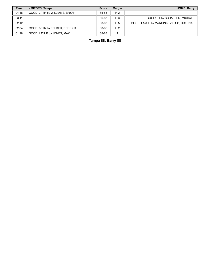| <b>Time</b> | <b>VISITORS: Tampa</b>        | <b>Score</b> | <b>Margin</b>  | <b>HOME: Barry</b>                      |
|-------------|-------------------------------|--------------|----------------|-----------------------------------------|
| 04:18       | GOOD! 3PTR by WILLIAMS, BRYAN | 85-83        | H <sub>2</sub> |                                         |
| 03:11       |                               | 86-83        | H <sub>3</sub> | GOOD! FT by SCHAEFER, MICHAEL           |
| 02:12       |                               | 88-83        | H 5            | GOOD! LAYUP by MARCINKEVICIUS, JUSTINAS |
| 02:04       | GOOD! 3PTR by FELDER, DERRICK | 88-86        | H <sub>2</sub> |                                         |
| 01:28       | GOOD! LAYUP by JONES, MAX     | 88-88        |                |                                         |

**Tampa 88, Barry 88**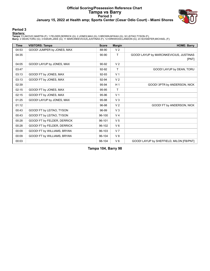# **Official Scoring/Possession Reference Chart Tampa vs Barry Period 3 January 15, 2022 at Health amp; Sports Center (Cesar Odio Court) - Miami Shores**



# **Period 3**

#### **Starters:**

**Tampa**: 0 LAKOVIC,MARTIN (F); 1 FELDER,DERRICK (G); 2 JONES,MAX (G); 5 BROWN,MYKAH (G); 32 LEITAO,TYSON (F);<br>**Barry**: 2 DEAN,TORU (G); 3 KAKAR,JAKE (G); 11 MARCINKEVICIUS,JUSTINAS (F); 12 KIRKWOOD,LANDON (G); 23 SCHAEFER,

| <b>Time</b> | <b>VISITORS: Tampa</b>      | <b>Score</b> | <b>Margin</b>  | <b>HOME: Barry</b>                       |
|-------------|-----------------------------|--------------|----------------|------------------------------------------|
| 04:53       | GOOD! JUMPER by JONES, MAX  | 88-90        | V <sub>2</sub> |                                          |
| 04:35       |                             | $90 - 90$    | T.             | GOOD! LAYUP by MARCINKEVICIUS, JUSTINAS  |
|             |                             |              |                | [PNT]                                    |
| 04:05       | GOOD! LAYUP by JONES, MAX   | 90-92        | V <sub>2</sub> |                                          |
| 03:47       |                             | 92-92        | T              | GOOD! LAYUP by DEAN, TORU                |
| 03:13       | GOOD! FT by JONES, MAX      | 92-93        | V <sub>1</sub> |                                          |
| 03:13       | GOOD! FT by JONES, MAX      | 92-94        | V <sub>2</sub> |                                          |
| 02:39       |                             | 95-94        | H <sub>1</sub> | GOOD! 3PTR by ANDERSON, NICK             |
| 02:15       | GOOD! FT by JONES, MAX      | 95-95        | Τ              |                                          |
| 02:15       | GOOD! FT by JONES, MAX      | 95-96        | V <sub>1</sub> |                                          |
| 01:25       | GOOD! LAYUP by JONES, MAX   | 95-98        | $V_3$          |                                          |
| 01:12       |                             | 96-98        | V <sub>2</sub> | GOOD! FT by ANDERSON, NICK               |
| 00:43       | GOOD! FT by LEITAO, TYSON   | 96-99        | $V_3$          |                                          |
| 00:43       | GOOD! FT by LEITAO, TYSON   | 96-100       | V <sub>4</sub> |                                          |
| 00:28       | GOOD! FT by FELDER, DERRICK | 96-101       | V <sub>5</sub> |                                          |
| 00:28       | GOOD! FT by FELDER, DERRICK | 96-102       | $V_6$          |                                          |
| 00:09       | GOOD! FT by WILLIAMS, BRYAN | 96-103       | V <sub>7</sub> |                                          |
| 00:09       | GOOD! FT by WILLIAMS, BRYAN | 96-104       | V8             |                                          |
| 00:03       |                             | 98-104       | $V_6$          | GOOD! LAYUP by SHEFFIELD, MILON [FB/PNT] |

**Tampa 104, Barry 98**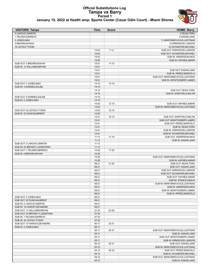#### **Official Substitutions Log Tampa vs Barry Period 1 January 15, 2022 at Health amp; Sports Center (Cesar Odio Court) - Miami Shores**



| <b>VISITORS: Tampa</b>          | Time           | <b>Score</b> | <b>HOME: Barry</b>                              |
|---------------------------------|----------------|--------------|-------------------------------------------------|
| 0 LAKOVIC, MARTIN               |                |              | 2 DEAN, TORU                                    |
| 1 FELDER, DERRICK               |                |              | 3 KAKAR, JAKE                                   |
| 2 JONES, MAX                    |                |              | 11 MARCINKEVICIUS, JUSTINAS                     |
| 5 BROWN, MYKAH                  |                |              | 12 KIRKWOOD, LANDON                             |
| 32 LEITAO, TYSON                |                |              | 23 SCHAEFER, MICHAEL                            |
|                                 | 15:52          | $7 - 12$     | SUB OUT: KIRKWOOD,LANDON                        |
|                                 | 15:52          |              | SUB OUT: SCHAEFER, MICHAEL                      |
|                                 | 15:52          |              | SUB IN: ANDERSON, NICK                          |
|                                 | 15:52          |              | SUB IN: HAYNES, AMARI                           |
| SUB OUT: 5 BROWN, MYKAH         | 15:01          | $11 - 15$    |                                                 |
| SUB IN: 12 WILLIAMS, BRYAN      | 15:01          |              |                                                 |
|                                 | 15:01          |              | SUB OUT: KAKAR, JAKE                            |
|                                 | 15:01          |              | SUB IN: PEREZ, MARCELO                          |
|                                 | 15:01          |              | SUB OUT: MARCINKEVICIUS, JUSTINAS               |
| SUB OUT: 2 JONES, MAX           | 15:01<br>14:15 | 13-19        | SUB IN: MONTGOMERY, JAMES                       |
| SUB IN: 4 KARNES, KALEB         | 14:15          |              |                                                 |
|                                 | 14:15          |              |                                                 |
|                                 | 14:15          |              | SUB OUT: DEAN, TORU<br>SUB IN: SHEFFIELD, MILON |
| SUB OUT: 4 KARNES, KALEB        | 14:15          |              |                                                 |
| SUB IN: 2 JONES.MAX             | 14:15          |              |                                                 |
|                                 | 14:03          | 13-19        | SUB OUT: HAYNES, AMARI                          |
|                                 | 14:03          |              | SUB IN: MARCINKEVICIUS, JUSTINAS                |
| SUB OUT: 32 LEITAO, TYSON       | 12:55          | $15-19$      |                                                 |
| SUB IN: 22 DUNCAN.BRENT         | 12:55          |              |                                                 |
|                                 | 12:41          | $15-19$      | SUB OUT: SHEFFIELD, MILON                       |
|                                 | 12:41          |              | SUB OUT: MONTGOMERY, JAMES                      |
|                                 | 12:41          |              | SUB OUT: PEREZ, MARCELO                         |
|                                 | 12:41          |              | SUB IN: DEAN, TORU                              |
|                                 | 12:41          |              | SUB IN: KIRKWOOD,LANDON                         |
|                                 | 12:41          |              | SUB IN: SCHAEFER, MICHAEL                       |
|                                 | 11:13          | $17-19$      | SUB OUT: ANDERSON, NICK                         |
|                                 | 11:13          |              | SUB IN: KAKAR, JAKE                             |
| SUB OUT: 0 LAKOVIC, MARTIN      | 11:13          |              |                                                 |
| SUB IN: 23 BRYANT II, JONATHAN  | 11:13          |              |                                                 |
| SUB OUT: 1 FELDER, DERRICK      | 10:26          | 17-20        |                                                 |
| SUB IN: 5 BROWN, MYKAH          | 10:26          |              |                                                 |
|                                 | 10:26          |              | SUB OUT: MARCINKEVICIUS, JUSTINAS               |
|                                 | 10:26          |              | SUB IN: HAYNES, AMARI                           |
|                                 | 08:21          | $21 - 24$    | SUB OUT: DEAN, TORU                             |
|                                 | 08:21          |              | SUB OUT: KAKAR, JAKE                            |
|                                 | 08:21          |              | SUB OUT: KIRKWOOD, LANDON                       |
|                                 | 08:21          |              | SUB OUT: SCHAEFER, MICHAEL                      |
|                                 | 08:21          |              | SUB OUT: HAYNES, AMARI                          |
|                                 | 08:21          |              | SUB IN: STANLEY, MALIK                          |
|                                 | 08:21          |              | SUB IN: MARCINKEVICIUS, JUSTINAS                |
|                                 | 08:21          |              | SUB IN: ANDERSON, NICK                          |
|                                 | 08:21          |              | SUB IN: MONTGOMERY, JAMES                       |
|                                 | 08:21          |              | SUB IN: PEREZ, MARCELO                          |
| SUB OUT: 2 JONES, MAX           | 08:21          |              |                                                 |
| SUB OUT: 22 DUNCAN, BRENT       | 08:21          |              |                                                 |
| SUB IN: 0 LAKOVIC, MARTIN       | 08:21          |              |                                                 |
| SUB IN: 10 HARVEY, DE'ANDRE     | 08:21          |              |                                                 |
| SUB OUT: 12 WILLIAMS, BRYAN     | 07:34          | 23-26        |                                                 |
| SUB OUT: 23 BRYANT II, JONATHAN | 07:34          |              |                                                 |
| SUB IN: 1 FELDER, DERRICK       | 07:34          |              |                                                 |
| SUB IN: 32 LEITAO, TYSON        | 07:34          |              |                                                 |
| SUB OUT: 10 HARVEY, DE'ANDRE    | 06:17          | 23-31        |                                                 |
| SUB IN: 2 JONES, MAX            | 06:17          |              |                                                 |
|                                 | 05:11          | 25-31        | SUB OUT: MARCINKEVICIUS, JUSTINAS               |
|                                 | 05:11          |              | SUB IN: KAKAR, JAKE                             |
|                                 | 05:11          |              | SUB OUT: MONTGOMERY, JAMES                      |
|                                 | 05:11          |              | SUB IN: KIRKWOOD, LANDON                        |
|                                 | 05:10          | 25-31        | SUB OUT: KAKAR, JAKE                            |
|                                 | 05:10          |              | SUB IN: MARCINKEVICIUS, JUSTINAS                |
|                                 | 04:12          | 25-33        | SUB OUT: PEREZ, MARCELO                         |
|                                 | 04:12          |              | SUB IN: SCHAEFER, MICHAEL                       |
|                                 | 04:12          |              | SUB OUT: MARCINKEVICIUS, JUSTINAS               |
|                                 | 04:12          |              | SUB IN: KAKAR, JAKE                             |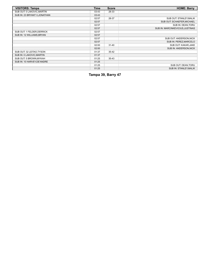| <b>VISITORS: Tampa</b>         | Time  | <b>Score</b> | <b>HOME: Barry</b>               |
|--------------------------------|-------|--------------|----------------------------------|
| SUB OUT: 0 LAKOVIC, MARTIN     | 03:43 | 28-33        |                                  |
| SUB IN: 23 BRYANT II, JONATHAN | 03:43 |              |                                  |
|                                | 02:57 | 28-37        | SUB OUT: STANLEY, MALIK          |
|                                | 02:57 |              | SUB OUT: SCHAEFER, MICHAEL       |
|                                | 02:57 |              | SUB IN: DEAN, TORU               |
|                                | 02:57 |              | SUB IN: MARCINKEVICIUS, JUSTINAS |
| SUB OUT: 1 FELDER, DERRICK     | 02:57 |              |                                  |
| SUB IN: 12 WILLIAMS, BRYAN     | 02:57 |              |                                  |
|                                | 02:57 |              | SUB OUT: ANDERSON, NICK          |
|                                | 02:57 |              | SUB IN: PEREZ, MARCELO           |
|                                | 02:00 | $31 - 40$    | SUB OUT: KAKAR, JAKE             |
|                                | 02:00 |              | SUB IN: ANDERSON, NICK           |
| SUB OUT: 32 LEITAO, TYSON      | 01:37 | $35 - 42$    |                                  |
| SUB IN: 0 LAKOVIC, MARTIN      | 01:37 |              |                                  |
| SUB OUT: 5 BROWN, MYKAH        | 01:25 | $35-43$      |                                  |
| SUB IN: 10 HARVEY, DE'ANDRE    | 01:25 |              |                                  |
|                                | 01:25 |              | SUB OUT: DEAN, TORU              |
|                                | 01:25 |              | SUB IN: STANLEY, MALIK           |

**Tampa 39, Barry 47**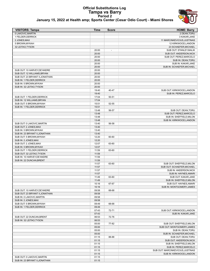#### **Official Substitutions Log Tampa vs Barry Period 2 January 15, 2022 at Health amp; Sports Center (Cesar Odio Court) - Miami Shores**



| <b>VISITORS: Tampa</b>                               | Time           | <b>Score</b>             | <b>HOME: Barry</b>                |
|------------------------------------------------------|----------------|--------------------------|-----------------------------------|
| 0 LAKOVIC, MARTIN                                    |                |                          | 2 DEAN, TORU                      |
| 1 FELDER, DERRICK                                    |                |                          | 3 KAKAR, JAKE                     |
| 2 JONES, MAX                                         |                |                          | 11 MARCINKEVICIUS, JUSTINAS       |
| 5 BROWN, MYKAH                                       |                |                          | 12 KIRKWOOD, LANDON               |
| 32 LEITAO, TYSON                                     |                |                          | 23 SCHAEFER, MICHAEL              |
|                                                      | 20:00          | $\overline{\phantom{a}}$ | SUB OUT: STANLEY, MALIK           |
|                                                      | 20:00          |                          | SUB OUT: ANDERSON, NICK           |
|                                                      | 20:00          |                          | SUB OUT: PEREZ, MARCELO           |
|                                                      | 20:00          |                          | SUB IN: DEAN, TORU                |
|                                                      | 20:00          |                          | SUB IN: KAKAR, JAKE               |
|                                                      | 20:00          |                          | SUB IN: SCHAEFER, MICHAEL         |
| SUB OUT: 10 HARVEY, DE'ANDRE                         | 20:00          |                          |                                   |
| SUB OUT: 12 WILLIAMS, BRYAN                          | 20:00          |                          |                                   |
| SUB OUT: 23 BRYANT II, JONATHAN                      | 20:00          |                          |                                   |
| SUB IN: 1 FELDER, DERRICK                            | 20:00          |                          |                                   |
| SUB IN: 5 BROWN, MYKAH                               | 20:00          |                          |                                   |
| SUB IN: 32 LEITAO, TYSON                             | 20:00          |                          |                                   |
|                                                      | 19:40          | 40-47                    | SUB OUT: KIRKWOOD, LANDON         |
|                                                      | 19:40          |                          | SUB IN: PEREZ, MARCELO            |
| SUB OUT: 1 FELDER DERRICK                            | 17:04          | 50-51                    |                                   |
| SUB IN: 12 WILLIAMS, BRYAN                           | 17:04          |                          |                                   |
| SUB OUT: 5 BROWN, MYKAH                              | 15:51          | 52-55                    |                                   |
| SUB IN: 1 FELDER, DERRICK                            | 15:51          |                          |                                   |
|                                                      | 13:48          | 56-57                    | SUB OUT: DEAN.TORU                |
|                                                      | 13:48          |                          | SUB OUT: PEREZ, MARCELO           |
|                                                      | 13:48          |                          | SUB IN: SHEFFIELD, MILON          |
|                                                      | 13:48          |                          | SUB IN: KIRKWOOD, LANDON          |
| SUB OUT: 0 LAKOVIC, MARTIN                           | 13:40          | 56-58                    |                                   |
| SUB OUT: 2 JONES, MAX                                | 13:40          |                          |                                   |
| SUB IN: 5 BROWN, MYKAH                               | 13:40          |                          |                                   |
| SUB IN: 23 BRYANT II, JONATHAN                       | 13:40          |                          |                                   |
| SUB OUT: 5 BROWN, MYKAH                              | 12:20          | 60-60                    |                                   |
| SUB IN: 2 JONES, MAX<br>SUB OUT: 2 JONES, MAX        | 12:20<br>12:07 |                          |                                   |
|                                                      | 12:07          | 63-60                    |                                   |
| SUB IN: 5 BROWN, MYKAH<br>SUB OUT: 1 FELDER, DERRICK | 11:59          | 63-60                    |                                   |
| SUB OUT: 32 LEITAO, TYSON                            | 11:59          |                          |                                   |
| SUB IN: 10 HARVEY, DE'ANDRE                          | 11:59          |                          |                                   |
| SUB IN: 22 DUNCAN.BRENT                              | 11:59          |                          |                                   |
|                                                      | 11:57          | 63-60                    | SUB OUT: SHEFFIELD, MILON         |
|                                                      | 11:57          |                          | SUB OUT: SCHAEFER, MICHAEL        |
|                                                      | 11:57          |                          | SUB IN: ANDERSON, NICK            |
|                                                      | 11:57          |                          | SUB IN: HAYNES, AMARI             |
|                                                      | 11:49          | 63-60                    | SUB OUT: KAKAR, JAKE              |
|                                                      | 11:49          |                          | SUB IN: SHEFFIELD, MILON          |
|                                                      | 10:16          | 67-67                    | SUB OUT: HAYNES, AMARI            |
|                                                      | 10:16          |                          | SUB IN: MONTGOMERY, JAMES         |
| SUB OUT: 10 HARVEY, DE'ANDRE                         | 09:58          | 68-68                    |                                   |
| SUB OUT: 23 BRYANT II, JONATHAN                      | 09:58          |                          |                                   |
| SUB IN: 0 LAKOVIC, MARTIN                            | 09:58          |                          |                                   |
| SUB IN: 2 JONES, MAX                                 | 09:58          |                          |                                   |
| SUB OUT: 5 BROWN, MYKAH                              | 09:49          | 68-68                    |                                   |
| SUB IN: 1 FELDER, DERRICK                            | 09:49          |                          |                                   |
|                                                      | 07:43          | 72-71                    | SUB OUT: KIRKWOOD,LANDON          |
|                                                      | 07:43          |                          | SUB IN: KAKAR, JAKE               |
| SUB OUT: 22 DUNCAN, BRENT                            | 06:53          | 72-76                    |                                   |
| SUB IN: 32 LEITAO, TYSON                             | 06:53          |                          |                                   |
|                                                      | 05:00          | 77-82                    | SUB OUT: SHEFFIELD, MILON         |
|                                                      | 05:00          |                          | SUB OUT: MONTGOMERY, JAMES        |
|                                                      | 05:00          |                          | SUB IN: DEAN, TORU                |
|                                                      | 05:00          |                          | SUB IN: SCHAEFER, MICHAEL         |
|                                                      | 01:15          | 88-88                    | SUB OUT: DEAN, TORU               |
|                                                      | 01:15          |                          | SUB OUT: ANDERSON, NICK           |
|                                                      | 01:15          |                          | SUB IN: SHEFFIELD, MILON          |
|                                                      | 01:15          |                          | SUB IN: PEREZ, MARCELO            |
|                                                      | 01:15          |                          | SUB OUT: MARCINKEVICIUS, JUSTINAS |
|                                                      | 01:15          |                          | SUB IN: KIRKWOOD, LANDON          |
| SUB OUT: 0 LAKOVIC, MARTIN                           | 01:15          |                          |                                   |
| SUB IN: 23 BRYANT II, JONATHAN                       | 01:15          |                          |                                   |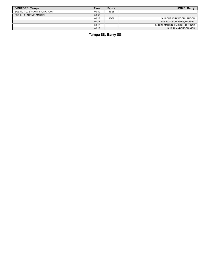| <b>VISITORS: Tampa</b>          | <b>Time</b> | <b>Score</b> | <b>HOME: Barry</b>               |
|---------------------------------|-------------|--------------|----------------------------------|
| SUB OUT: 23 BRYANT II, JONATHAN | 00:50       | 88-88        |                                  |
| SUB IN: 0 LAKOVIC, MARTIN       | 00:50       |              |                                  |
|                                 | 00:17       | 88-88        | SUB OUT: KIRKWOOD,LANDON         |
|                                 | 00:17       |              | SUB OUT: SCHAEFER, MICHAEL       |
|                                 | 00:17       |              | SUB IN: MARCINKEVICIUS, JUSTINAS |
|                                 | 00:17       |              | SUB IN: ANDERSON, NICK           |

**Tampa 88, Barry 88**